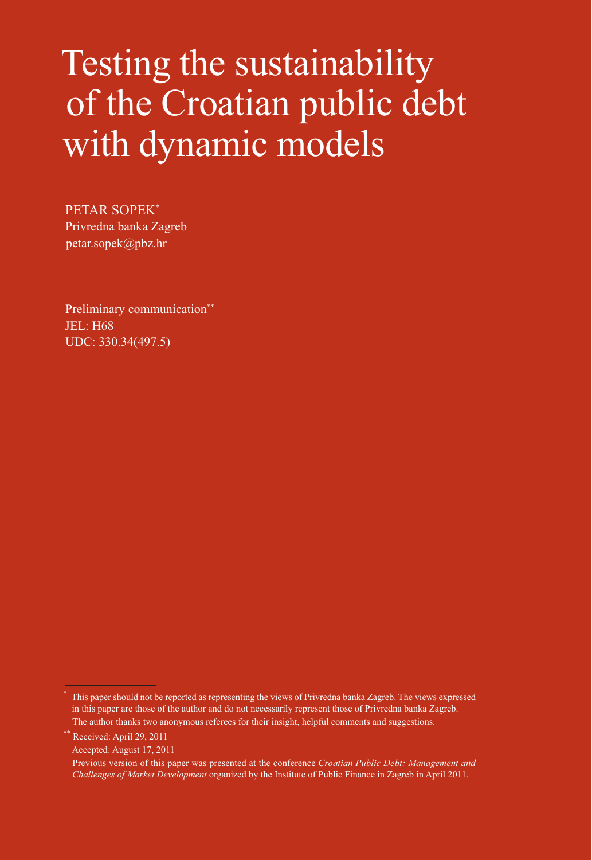# Testing the sustainability of the Croatian public debt with dynamic models

PETAR SOPEK\* Privredna banka Zagreb petar.sopek@pbz.hr

Preliminary communication\*\* JEL: H68 UDC: 330.34(497.5)

Received: April 29, 2011 Accepted: August 17, 2011

<sup>\*</sup> This paper should not be reported as representing the views of Privredna banka Zagreb. The views expressed in this paper are those of the author and do not necessarily represent those of Privredna banka Zagreb. The author thanks two anonymous referees for their insight, helpful comments and suggestions.

Previous version of this paper was presented at the conference *Croatian Public Debt: Management and Challenges of Market Development* organized by the Institute of Public Finance in Zagreb in April 2011.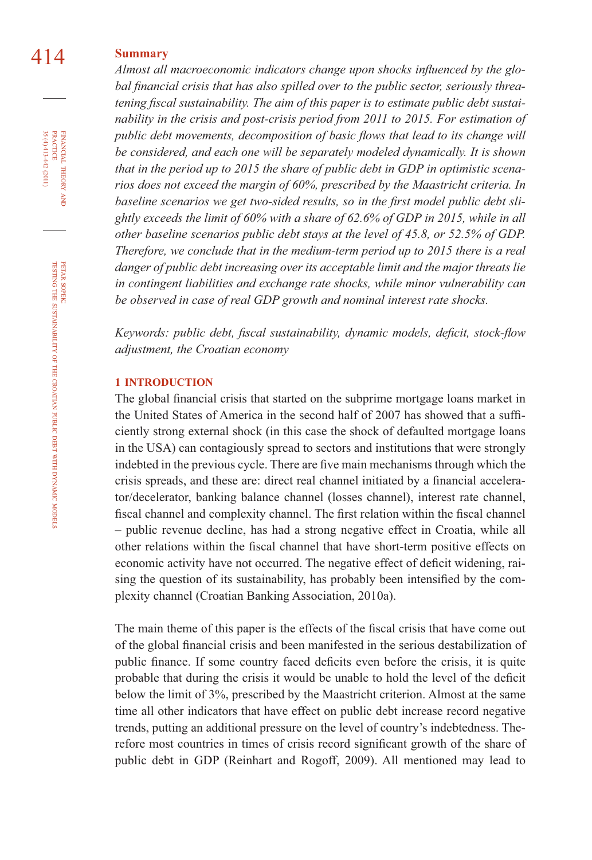# 414 **Summary**

Almost all macroeconomic indicators change upon shocks influenced by the global financial crisis that has also spilled over to the public sector, seriously threatening fiscal sustainability. The aim of this paper is to estimate public debt sustai*nability in the crisis and post-crisis period from 2011 to 2015. For estimation of public debt movements, decomposition of basic flows that lead to its change will be considered, and each one will be separately modeled dynamically. It is shown that in the period up to 2015 the share of public debt in GDP in optimistic scenarios does not exceed the margin of 60%, prescribed by the Maastricht criteria. In*  baseline scenarios we get two-sided results, so in the first model public debt sli*ghtly exceeds the limit of 60% with a share of 62.6% of GDP in 2015, while in all other baseline scenarios public debt stays at the level of 45.8, or 52.5% of GDP. Therefore, we conclude that in the medium-term period up to 2015 there is a real danger of public debt increasing over its acceptable limit and the major threats lie in contingent liabilities and exchange rate shocks, while minor vulnerability can be observed in case of real GDP growth and nominal interest rate shocks.*

*Keywords: public debt, fiscal sustainability, dynamic models, deficit, stock-flow adjustment, the Croatian economy*

#### **1 INTRODUCTION**

The global financial crisis that started on the subprime mortgage loans market in the United States of America in the second half of 2007 has showed that a sufficiently strong external shock (in this case the shock of defaulted mortgage loans in the USA) can contagiously spread to sectors and institutions that were strongly indebted in the previous cycle. There are five main mechanisms through which the crisis spreads, and these are: direct real channel initiated by a financial accelerator/decelerator, banking balance channel (losses channel), interest rate channel, fiscal channel and complexity channel. The first relation within the fiscal channel – public revenue decline, has had a strong negative effect in Croatia, while all other relations within the fiscal channel that have short-term positive effects on economic activity have not occurred. The negative effect of deficit widening, raising the question of its sustainability, has probably been intensified by the complexity channel (Croatian Banking Association, 2010a).

The main theme of this paper is the effects of the fiscal crisis that have come out of the global financial crisis and been manifested in the serious destabilization of public finance. If some country faced deficits even before the crisis, it is quite probable that during the crisis it would be unable to hold the level of the deficit below the limit of 3%, prescribed by the Maastricht criterion. Almost at the same time all other indicators that have effect on public debt increase record negative trends, putting an additional pressure on the level of country's indebtedness. Therefore most countries in times of crisis record significant growth of the share of public debt in GDP (Reinhart and Rogoff, 2009). All mentioned may lead to

35 (4) 413-442 (2011) FINANCIAL THEORY AND PRACTICE 35 (4) 413-442 (2011) PRACTICE FINANCIAL THEORY

PETAR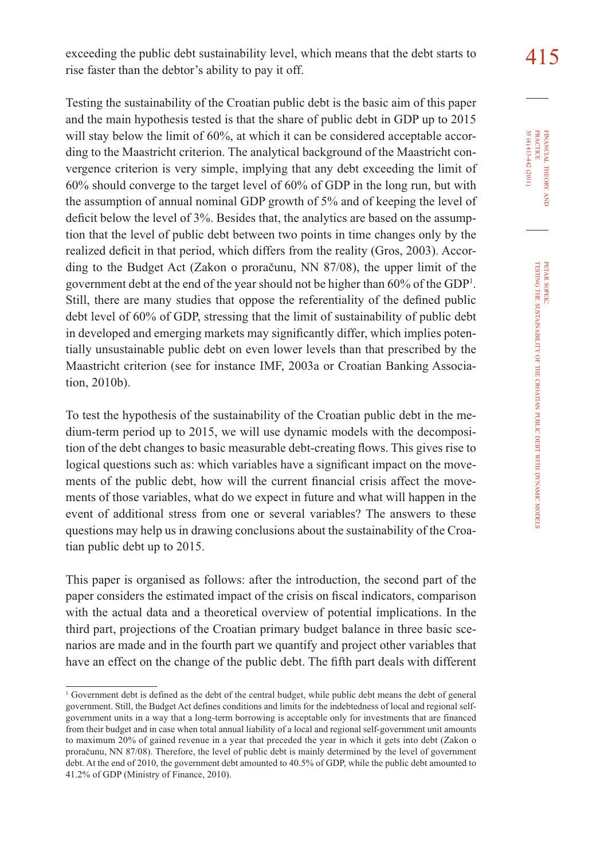exceeding the public debt sustainability level, which means that the debt starts to  $\frac{415}{2}$ rise faster than the debtor's ability to pay it off.

Testing the sustainability of the Croatian public debt is the basic aim of this paper and the main hypothesis tested is that the share of public debt in GDP up to 2015 will stay below the limit of 60%, at which it can be considered acceptable according to the Maastricht criterion. The analytical background of the Maastricht convergence criterion is very simple, implying that any debt exceeding the limit of 60% should converge to the target level of 60% of GDP in the long run, but with the assumption of annual nominal GDP growth of 5% and of keeping the level of deficit below the level of 3%. Besides that, the analytics are based on the assumption that the level of public debt between two points in time changes only by the realized deficit in that period, which differs from the reality (Gros, 2003). According to the Budget Act (Zakon o proračunu, NN 87/08), the upper limit of the government debt at the end of the year should not be higher than 60% of the GDP1 . Still, there are many studies that oppose the referentiality of the defined public debt level of 60% of GDP, stressing that the limit of sustainability of public debt in developed and emerging markets may significantly differ, which implies potentially unsustainable public debt on even lower levels than that prescribed by the Maastricht criterion (see for instance IMF, 2003a or Croatian Banking Association, 2010b).

To test the hypothesis of the sustainability of the Croatian public debt in the medium-term period up to 2015, we will use dynamic models with the decomposition of the debt changes to basic measurable debt-creating flows. This gives rise to logical questions such as: which variables have a significant impact on the movements of the public debt, how will the current financial crisis affect the movements of those variables, what do we expect in future and what will happen in the event of additional stress from one or several variables? The answers to these questions may help us in drawing conclusions about the sustainability of the Croatian public debt up to 2015.

This paper is organised as follows: after the introduction, the second part of the paper considers the estimated impact of the crisis on fiscal indicators, comparison with the actual data and a theoretical overview of potential implications. In the third part, projections of the Croatian primary budget balance in three basic scenarios are made and in the fourth part we quantify and project other variables that have an effect on the change of the public debt. The fifth part deals with different

FINANCIAL THEORY FINANCIAL THEORY AND<br>PRACTICE<br>35 (4) 413-442 (2011) 35 (4) 413-442 (2011) PRACTICE

<sup>1</sup> Government debt is defined as the debt of the central budget, while public debt means the debt of general government. Still, the Budget Act defines conditions and limits for the indebtedness of local and regional selfgovernment units in a way that a long-term borrowing is acceptable only for investments that are financed from their budget and in case when total annual liability of a local and regional self-government unit amounts to maximum 20% of gained revenue in a year that preceded the year in which it gets into debt (Zakon o proračunu, NN 87/08). Therefore, the level of public debt is mainly determined by the level of government debt. At the end of 2010, the government debt amounted to 40.5% of GDP, while the public debt amounted to 41.2% of GDP (Ministry of Finance, 2010).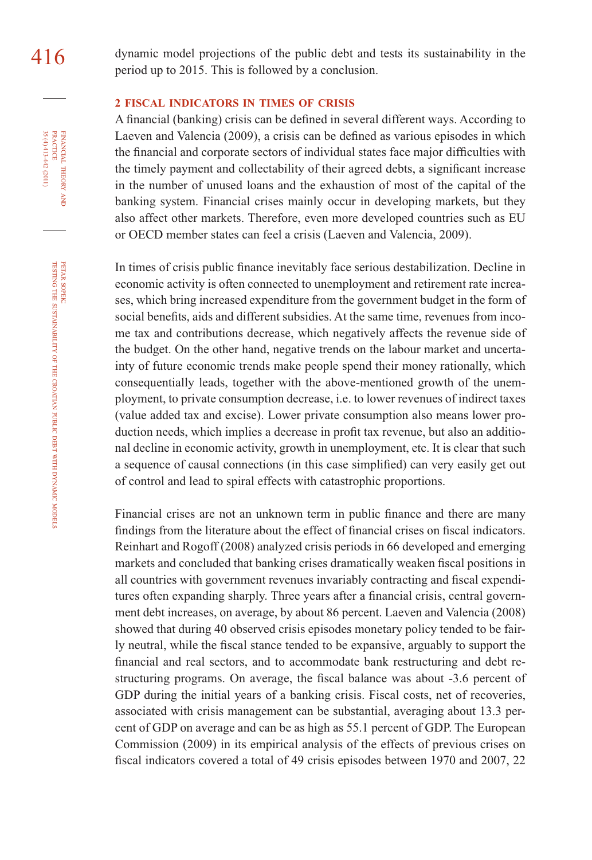#### **2 FISCAL INDICATORS IN TIMES OF CRISIS**

A financial (banking) crisis can be defined in several different ways. According to Laeven and Valencia (2009), a crisis can be defined as various episodes in which the financial and corporate sectors of individual states face major difficulties with the timely payment and collectability of their agreed debts, a significant increase in the number of unused loans and the exhaustion of most of the capital of the banking system. Financial crises mainly occur in developing markets, but they also affect other markets. Therefore, even more developed countries such as EU or OECD member states can feel a crisis (Laeven and Valencia, 2009).

In times of crisis public finance inevitably face serious destabilization. Decline in economic activity is often connected to unemployment and retirement rate increases, which bring increased expenditure from the government budget in the form of social benefits, aids and different subsidies. At the same time, revenues from income tax and contributions decrease, which negatively affects the revenue side of the budget. On the other hand, negative trends on the labour market and uncertainty of future economic trends make people spend their money rationally, which consequentially leads, together with the above-mentioned growth of the unemployment, to private consumption decrease, i.e. to lower revenues of indirect taxes (value added tax and excise). Lower private consumption also means lower production needs, which implies a decrease in profit tax revenue, but also an additional decline in economic activity, growth in unemployment, etc. It is clear that such a sequence of causal connections (in this case simplified) can very easily get out of control and lead to spiral effects with catastrophic proportions.

Financial crises are not an unknown term in public finance and there are many findings from the literature about the effect of financial crises on fiscal indicators. Reinhart and Rogoff (2008) analyzed crisis periods in 66 developed and emerging markets and concluded that banking crises dramatically weaken fiscal positions in all countries with government revenues invariably contracting and fiscal expenditures often expanding sharply. Three years after a financial crisis, central government debt increases, on average, by about 86 percent. Laeven and Valencia (2008) showed that during 40 observed crisis episodes monetary policy tended to be fairly neutral, while the fiscal stance tended to be expansive, arguably to support the financial and real sectors, and to accommodate bank restructuring and debt restructuring programs. On average, the fiscal balance was about  $-3.6$  percent of GDP during the initial years of a banking crisis. Fiscal costs, net of recoveries, associated with crisis management can be substantial, averaging about 13.3 percent of GDP on average and can be as high as 55.1 percent of GDP. The European Commission (2009) in its empirical analysis of the effects of previous crises on fiscal indicators covered a total of 49 crisis episodes between 1970 and 2007, 22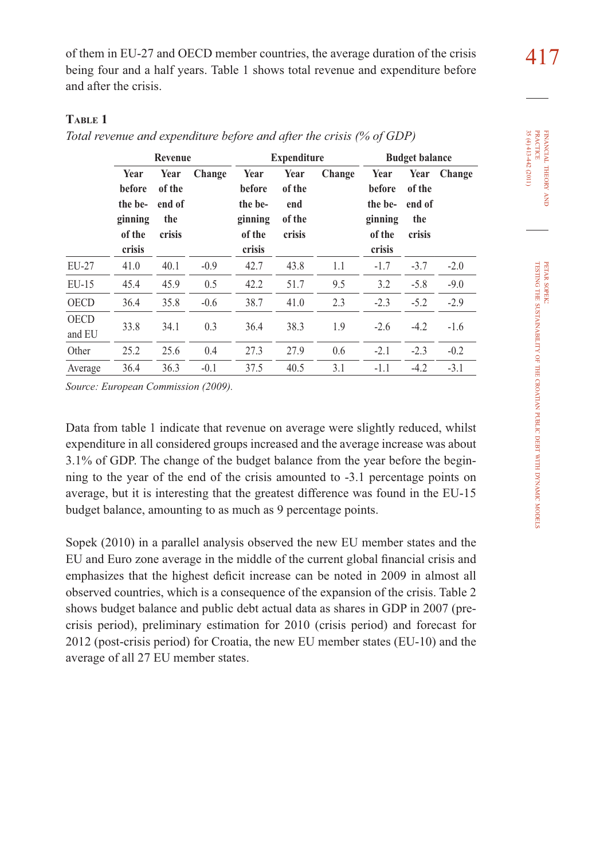of them in EU-27 and OECD member countries, the average duration of the crisis  $417$ being four and a half years. Table 1 shows total revenue and expenditure before and after the crisis.

## **TABLE 1**

*Total revenue and expenditure before and after the crisis (% of GDP)* 

|                       |                                                          | Revenue                                   |        |                                                          | <b>Expenditure</b>                        |        |                                                          | <b>Budget balance</b>                     |        |
|-----------------------|----------------------------------------------------------|-------------------------------------------|--------|----------------------------------------------------------|-------------------------------------------|--------|----------------------------------------------------------|-------------------------------------------|--------|
|                       | Year<br>before<br>the be-<br>ginning<br>of the<br>crisis | Year<br>of the<br>end of<br>the<br>crisis | Change | Year<br>before<br>the be-<br>ginning<br>of the<br>crisis | Year<br>of the<br>end<br>of the<br>crisis | Change | Year<br>before<br>the be-<br>ginning<br>of the<br>crisis | Year<br>of the<br>end of<br>the<br>crisis | Change |
| EU-27                 | 41.0                                                     | 40.1                                      | $-0.9$ | 42.7                                                     | 43.8                                      | 1.1    | $-1.7$                                                   | $-3.7$                                    | $-2.0$ |
| $EU-15$               | 45.4                                                     | 45.9                                      | 0.5    | 42.2                                                     | 51.7                                      | 9.5    | 3.2                                                      | $-5.8$                                    | $-9.0$ |
| <b>OECD</b>           | 36.4                                                     | 35.8                                      | $-0.6$ | 38.7                                                     | 41.0                                      | 2.3    | $-2.3$                                                   | $-5.2$                                    | $-2.9$ |
| <b>OECD</b><br>and EU | 33.8                                                     | 34.1                                      | 0.3    | 36.4                                                     | 38.3                                      | 1.9    | $-2.6$                                                   | $-4.2$                                    | $-1.6$ |
| Other                 | 25.2                                                     | 25.6                                      | 0.4    | 27.3                                                     | 27.9                                      | 0.6    | $-2.1$                                                   | $-2.3$                                    | $-0.2$ |
| Average               | 36.4                                                     | 36.3                                      | $-0.1$ | 37.5                                                     | 40.5                                      | 3.1    | $-1.1$                                                   | $-4.2$                                    | $-3.1$ |

*Source: European Commission (2009).*

Data from table 1 indicate that revenue on average were slightly reduced, whilst expenditure in all considered groups increased and the average increase was about 3.1% of GDP. The change of the budget balance from the year before the beginning to the year of the end of the crisis amounted to -3.1 percentage points on average, but it is interesting that the greatest difference was found in the EU-15 budget balance, amounting to as much as 9 percentage points.

Sopek (2010) in a parallel analysis observed the new EU member states and the EU and Euro zone average in the middle of the current global financial crisis and emphasizes that the highest deficit increase can be noted in 2009 in almost all observed countries, which is a consequence of the expansion of the crisis. Table 2 shows budget balance and public debt actual data as shares in GDP in 2007 (precrisis period), preliminary estimation for 2010 (crisis period) and forecast for 2012 (post-crisis period) for Croatia, the new EU member states (EU-10) and the average of all 27 EU member states.

FINANCIAL

35 (4) 413-442 (2011) PRACTICE

 $35(4)413-442(2011)$ **PRACTICE** FINANCIAL THEORY

THEORY AND

PETAR SOPEK: TESTING THE

SUSTAINABILITY

OF THE

CROATIAN

PUBLIC DEBT WITH DYNAMIC

MODELS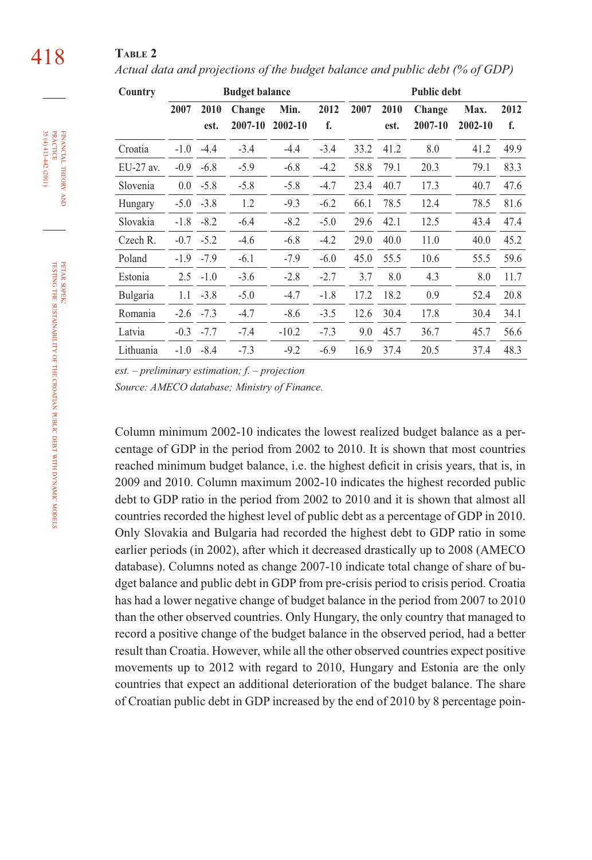# 418 **TABLE 2**

*Actual data and projections of the budget balance and public debt (% of GDP)*

| Country     |        |               | <b>Budget balance</b> |         |        |      |      | <b>Public debt</b> |         |      |
|-------------|--------|---------------|-----------------------|---------|--------|------|------|--------------------|---------|------|
|             | 2007   | 2010          | Change                | Min.    | 2012   | 2007 | 2010 | Change             | Max.    | 2012 |
|             |        | est.          | 2007-10               | 2002-10 | f.     |      | est. | 2007-10            | 2002-10 | f.   |
| Croatia     | $-1.0$ | $-4.4$        | $-3.4$                | $-4.4$  | $-3.4$ | 33.2 | 41.2 | 8.0                | 41.2    | 49.9 |
| $EU-27$ av. | $-0.9$ | $-6.8$        | $-5.9$                | $-6.8$  | $-4.2$ | 58.8 | 79.1 | 20.3               | 79.1    | 83.3 |
| Slovenia    |        | $0.0 - 5.8$   | $-5.8$                | $-5.8$  | $-4.7$ | 23.4 | 40.7 | 17.3               | 40.7    | 47.6 |
| Hungary     |        | $-5.0 -3.8$   | 1.2                   | $-9.3$  | $-6.2$ | 66.1 | 78.5 | 12.4               | 78.5    | 81.6 |
| Slovakia    | $-1.8$ | $-8.2$        | $-6.4$                | $-8.2$  | $-5.0$ | 29.6 | 42.1 | 12.5               | 43.4    | 47.4 |
| Czech R.    |        | $-0.7 -5.2$   | $-4.6$                | $-6.8$  | $-4.2$ | 29.0 | 40.0 | 11.0               | 40.0    | 45.2 |
| Poland      |        | $-1.9$ $-7.9$ | $-6.1$                | $-7.9$  | $-6.0$ | 45.0 | 55.5 | 10.6               | 55.5    | 59.6 |
| Estonia     | 2.5    | $-1.0$        | $-3.6$                | $-2.8$  | $-2.7$ | 3.7  | 8.0  | 4.3                | 8.0     | 11.7 |
| Bulgaria    | 1.1    | $-3.8$        | $-5.0$                | $-4.7$  | $-1.8$ | 17.2 | 18.2 | 0.9                | 52.4    | 20.8 |
| Romania     | $-2.6$ | $-7.3$        | $-4.7$                | $-8.6$  | $-3.5$ | 12.6 | 30.4 | 17.8               | 30.4    | 34.1 |
| Latvia      | $-0.3$ | $-7.7$        | $-7.4$                | $-10.2$ | $-7.3$ | 9.0  | 45.7 | 36.7               | 45.7    | 56.6 |
| Lithuania   | $-1.0$ | $-8.4$        | $-7.3$                | $-9.2$  | $-6.9$ | 16.9 | 37.4 | 20.5               | 37.4    | 48.3 |

*est. – preliminary estimation; f. – projection*

*Source: AMECO database; Ministry of Finance.*

Column minimum 2002-10 indicates the lowest realized budget balance as a percentage of GDP in the period from 2002 to 2010. It is shown that most countries reached minimum budget balance, i.e. the highest deficit in crisis years, that is, in 2009 and 2010. Column maximum 2002-10 indicates the highest recorded public debt to GDP ratio in the period from 2002 to 2010 and it is shown that almost all countries recorded the highest level of public debt as a percentage of GDP in 2010. Only Slovakia and Bulgaria had recorded the highest debt to GDP ratio in some earlier periods (in 2002), after which it decreased drastically up to 2008 (AMECO database). Columns noted as change 2007-10 indicate total change of share of budget balance and public debt in GDP from pre-crisis period to crisis period. Croatia has had a lower negative change of budget balance in the period from 2007 to 2010 than the other observed countries. Only Hungary, the only country that managed to record a positive change of the budget balance in the observed period, had a better result than Croatia. However, while all the other observed countries expect positive movements up to 2012 with regard to 2010, Hungary and Estonia are the only countries that expect an additional deterioration of the budget balance. The share of Croatian public debt in GDP increased by the end of 2010 by 8 percentage poin-

PETAR

FINANCIAL

35 (4) 413-442 (2011)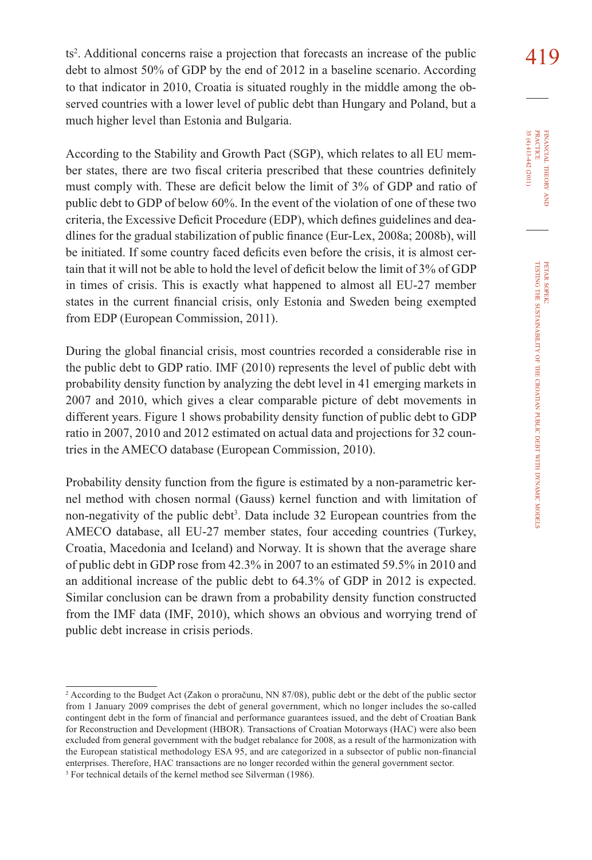$419$  ts<sup>2</sup>. Additional concerns raise a projection that forecasts an increase of the public  $419$ debt to almost 50% of GDP by the end of 2012 in a baseline scenario. According to that indicator in 2010, Croatia is situated roughly in the middle among the observed countries with a lower level of public debt than Hungary and Poland, but a much higher level than Estonia and Bulgaria.

According to the Stability and Growth Pact (SGP), which relates to all EU member states, there are two fiscal criteria prescribed that these countries definitely must comply with. These are deficit below the limit of 3% of GDP and ratio of public debt to GDP of below 60%. In the event of the violation of one of these two criteria, the Excessive Deficit Procedure (EDP), which defines guidelines and deadlines for the gradual stabilization of public finance (Eur-Lex, 2008a; 2008b), will be initiated. If some country faced deficits even before the crisis, it is almost certain that it will not be able to hold the level of deficit below the limit of  $3\%$  of GDP in times of crisis. This is exactly what happened to almost all EU-27 member states in the current financial crisis, only Estonia and Sweden being exempted from EDP (European Commission, 2011).

During the global financial crisis, most countries recorded a considerable rise in the public debt to GDP ratio. IMF (2010) represents the level of public debt with probability density function by analyzing the debt level in 41 emerging markets in 2007 and 2010, which gives a clear comparable picture of debt movements in different years. Figure 1 shows probability density function of public debt to GDP ratio in 2007, 2010 and 2012 estimated on actual data and projections for 32 countries in the AMECO database (European Commission, 2010).

Probability density function from the figure is estimated by a non-parametric kernel method with chosen normal (Gauss) kernel function and with limitation of non-negativity of the public debt<sup>3</sup>. Data include 32 European countries from the AMECO database, all EU-27 member states, four acceding countries (Turkey, Croatia, Macedonia and Iceland) and Norway. It is shown that the average share of public debt in GDP rose from 42.3% in 2007 to an estimated 59.5% in 2010 and an additional increase of the public debt to 64.3% of GDP in 2012 is expected. Similar conclusion can be drawn from a probability density function constructed from the IMF data (IMF, 2010), which shows an obvious and worrying trend of public debt increase in crisis periods.

<sup>2</sup> According to the Budget Act (Zakon o proračunu, NN 87/08), public debt or the debt of the public sector from 1 January 2009 comprises the debt of general government, which no longer includes the so-called contingent debt in the form of financial and performance guarantees issued, and the debt of Croatian Bank for Reconstruction and Development (HBOR). Transactions of Croatian Motorways (HAC) were also been excluded from general government with the budget rebalance for 2008, as a result of the harmonization with the European statistical methodology ESA 95, and are categorized in a subsector of public non-financial enterprises. Therefore, HAC transactions are no longer recorded within the general government sector.

<sup>&</sup>lt;sup>3</sup> For technical details of the kernel method see Silverman (1986).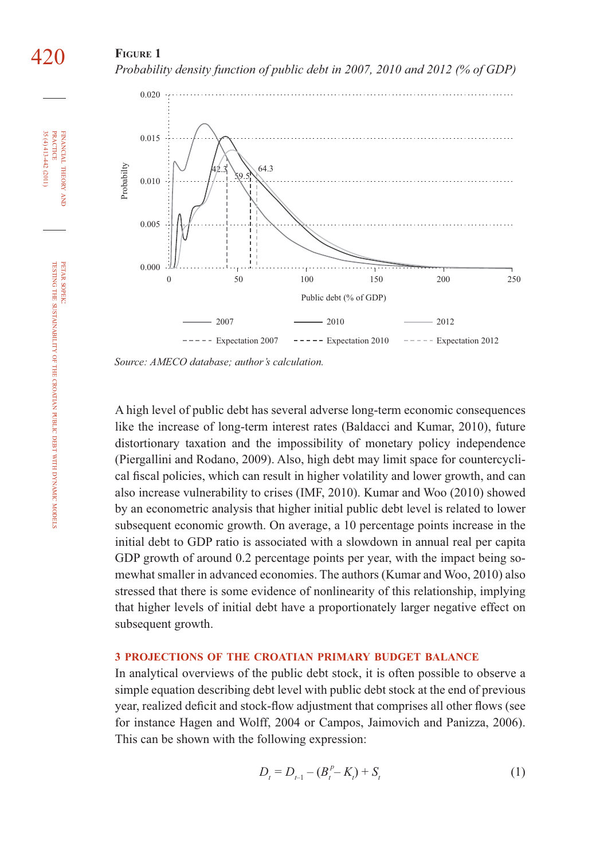## **FIGURE 1**  *Probability density function of public debt in 2007, 2010 and 2012 (% of GDP)*



*Source: AMECO database; author's calculation.*

A high level of public debt has several adverse long-term economic consequences like the increase of long-term interest rates (Baldacci and Kumar, 2010), future distortionary taxation and the impossibility of monetary policy independence (Piergallini and Rodano, 2009). Also, high debt may limit space for countercyclical fiscal policies, which can result in higher volatility and lower growth, and can also increase vulnerability to crises (IMF, 2010). Kumar and Woo (2010) showed by an econometric analysis that higher initial public debt level is related to lower subsequent economic growth. On average, a 10 percentage points increase in the initial debt to GDP ratio is associated with a slowdown in annual real per capita GDP growth of around 0.2 percentage points per year, with the impact being somewhat smaller in advanced economies. The authors (Kumar and Woo, 2010) also stressed that there is some evidence of nonlinearity of this relationship, implying that higher levels of initial debt have a proportionately larger negative effect on subsequent growth.

#### **3 PROJECTIONS OF THE CROATIAN PRIMARY BUDGET BALANCE**

In analytical overviews of the public debt stock, it is often possible to observe a simple equation describing debt level with public debt stock at the end of previous year, realized deficit and stock-flow adjustment that comprises all other flows (see for instance Hagen and Wolff, 2004 or Campos, Jaimovich and Panizza, 2006). This can be shown with the following expression:

$$
D_t = D_{t-1} - (B_t^p - K_t) + S_t \tag{1}
$$

PRACTICE

**PRACTICE** 

420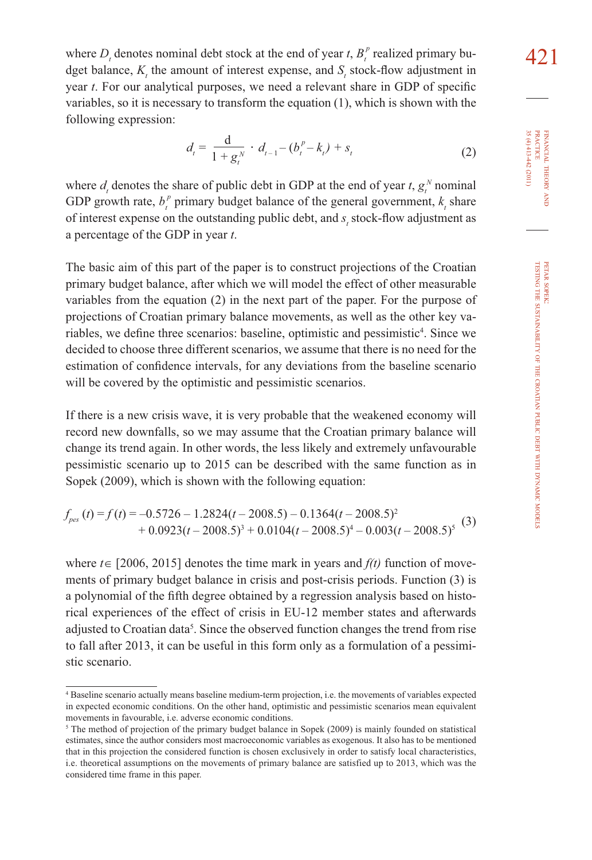where  $D_t$  denotes nominal debt stock at the end of year *t*,  $B_t^p$  realized primary bu-<br>deat belance K, the empount of interest expense, and S, stock flow ediverses in dget balance,  $K<sub>t</sub>$  the amount of interest expense, and  $S<sub>t</sub>$  stock-flow adjustment in year *t*. For our analytical purposes, we need a relevant share in GDP of specific variables, so it is necessary to transform the equation (1), which is shown with the following expression:

$$
d_{t} = \frac{d}{1 + g_{t}^{N}} \cdot d_{t-1} - (b_{t}^{P} - k_{t}) + s_{t}
$$
 (2)

where  $d_i$  denotes the share of public debt in GDP at the end of year  $t$ ,  $g_i^N$  nominal GDP growth rate,  $b_t^p$  primary budget balance of the general government,  $k_t$  share of interest expense on the outstanding public debt, and  $s_t$  stock-flow adjustment as a percentage of the GDP in year *t*.

The basic aim of this part of the paper is to construct projections of the Croatian primary budget balance, after which we will model the effect of other measurable variables from the equation (2) in the next part of the paper. For the purpose of projections of Croatian primary balance movements, as well as the other key variables, we define three scenarios: baseline, optimistic and pessimistic<sup>4</sup>. Since we decided to choose three different scenarios, we assume that there is no need for the estimation of confidence intervals, for any deviations from the baseline scenario will be covered by the optimistic and pessimistic scenarios.

If there is a new crisis wave, it is very probable that the weakened economy will record new downfalls, so we may assume that the Croatian primary balance will change its trend again. In other words, the less likely and extremely unfavourable pessimistic scenario up to 2015 can be described with the same function as in Sopek (2009), which is shown with the following equation:

$$
f_{\text{pes}}(t) = f(t) = -0.5726 - 1.2824(t - 2008.5) - 0.1364(t - 2008.5)^{2} + 0.0923(t - 2008.5)^{3} + 0.0104(t - 2008.5)^{4} - 0.003(t - 2008.5)^{5}
$$
 (3)

where *t*∈ [2006, 2015] denotes the time mark in years and *f(t)* function of movements of primary budget balance in crisis and post-crisis periods. Function (3) is a polynomial of the fifth degree obtained by a regression analysis based on historical experiences of the effect of crisis in EU-12 member states and afterwards adjusted to Croatian data<sup>5</sup>. Since the observed function changes the trend from rise to fall after 2013, it can be useful in this form only as a formulation of a pessimistic scenario.

<sup>4</sup> Baseline scenario actually means baseline medium-term projection, i.e. the movements of variables expected in expected economic conditions. On the other hand, optimistic and pessimistic scenarios mean equivalent movements in favourable, i.e. adverse economic conditions.

<sup>&</sup>lt;sup>5</sup> The method of projection of the primary budget balance in Sopek (2009) is mainly founded on statistical estimates, since the author considers most macroeconomic variables as exogenous. It also has to be mentioned that in this projection the considered function is chosen exclusively in order to satisfy local characteristics, i.e. theoretical assumptions on the movements of primary balance are satisfied up to 2013, which was the considered time frame in this paper.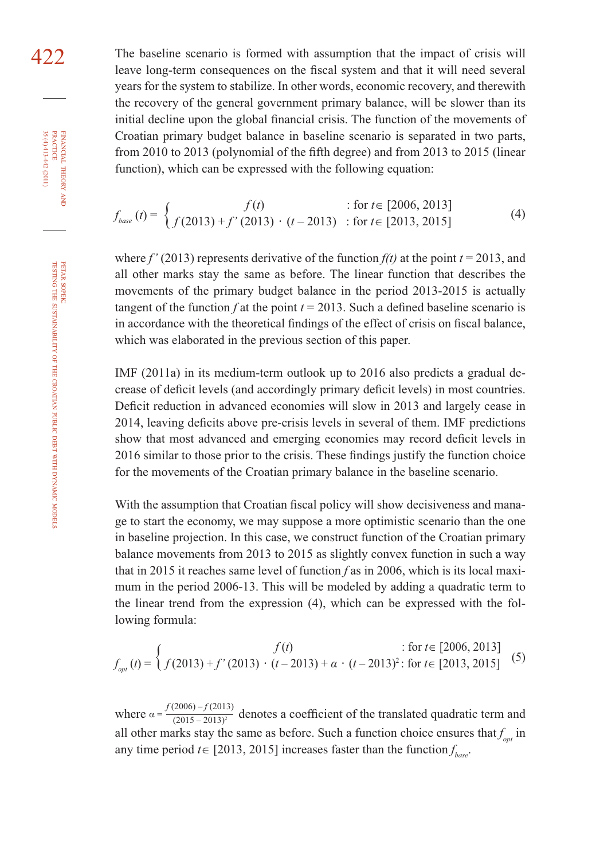422 The baseline scenario is formed with assumption that the impact of crisis will leave long-term consequences on the fiscal system and that it will need several years for the system to stabilize. In other words, economic recovery, and therewith the recovery of the general government primary balance, will be slower than its initial decline upon the global financial crisis. The function of the movements of Croatian primary budget balance in baseline scenario is separated in two parts, from 2010 to 2013 (polynomial of the fifth degree) and from 2013 to 2015 (linear function), which can be expressed with the following equation:

$$
f_{base}(t) = \begin{cases} f(t) & \text{: for } t \in [2006, 2013] \\ f(2013) + f'(2013) & \text{: for } t \in [2013, 2015] \end{cases}
$$
(4)

where  $f'(2013)$  represents derivative of the function  $f(t)$  at the point  $t = 2013$ , and all other marks stay the same as before. The linear function that describes the movements of the primary budget balance in the period 2013-2015 is actually tangent of the function *f* at the point  $t = 2013$ . Such a defined baseline scenario is in accordance with the theoretical findings of the effect of crisis on fiscal balance, which was elaborated in the previous section of this paper.

IMF (2011a) in its medium-term outlook up to 2016 also predicts a gradual decrease of deficit levels (and accordingly primary deficit levels) in most countries. Deficit reduction in advanced economies will slow in 2013 and largely cease in 2014, leaving deficits above pre-crisis levels in several of them. IMF predictions show that most advanced and emerging economies may record deficit levels in 2016 similar to those prior to the crisis. These findings justify the function choice for the movements of the Croatian primary balance in the baseline scenario.

With the assumption that Croatian fiscal policy will show decisiveness and manage to start the economy, we may suppose a more optimistic scenario than the one in baseline projection. In this case, we construct function of the Croatian primary balance movements from 2013 to 2015 as slightly convex function in such a way that in 2015 it reaches same level of function *f* as in 2006, which is its local maximum in the period 2006-13. This will be modeled by adding a quadratic term to the linear trend from the expression (4), which can be expressed with the following formula:

$$
f_{opt}(t) = \begin{cases} f(t) & \text{if } t \in [2006, 2013] \\ f(2013) + f'(2013) & \text{if } t = 2013 + \alpha \cdot (t - 2013)^2 \text{; for } t \in [2013, 2015] \end{cases}
$$
(5)

where  $\alpha = \frac{f(2006) - f(2013)}{(2015 - 2013)^2}$  denotes a coefficient of the translated quadratic term and all other marks stay the same as before. Such a function choice ensures that  $f_{opt}$  in any time period  $t \in [2013, 2015]$  increases faster than the function  $f_{base}$ .

FINANCIAL

35 (4) 413-442 (2011)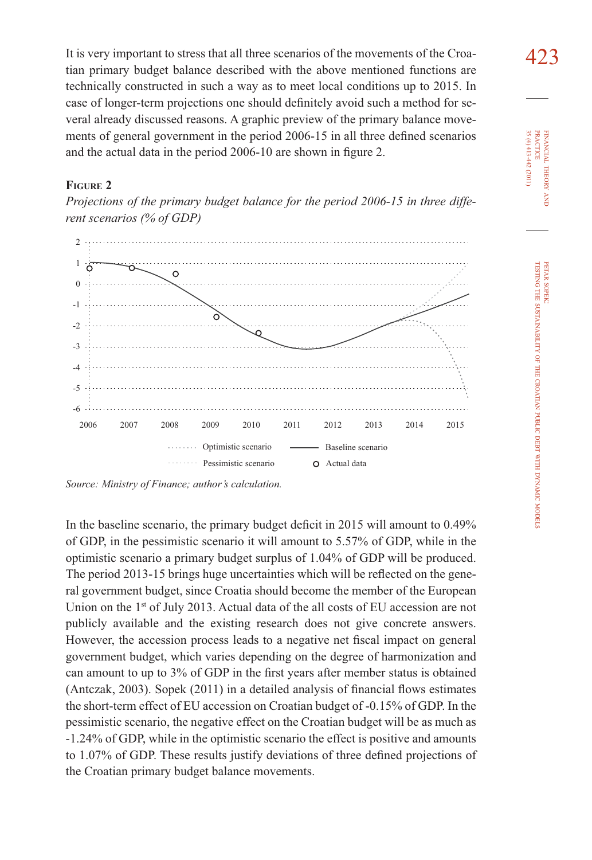It is very important to stress that all three scenarios of the movements of the Croa- $\frac{423}{}$ tian primary budget balance described with the above mentioned functions are technically constructed in such a way as to meet local conditions up to 2015. In case of longer-term projections one should definitely avoid such a method for several already discussed reasons. A graphic preview of the primary balance movements of general government in the period 2006-15 in all three defined scenarios and the actual data in the period 2006-10 are shown in figure 2.

#### **FIGURE 2**

*Projections of the primary budget balance for the period 2006-15 in three different scenarios (% of GDP)*



*Source: Ministry of Finance; author's calculation.*

In the baseline scenario, the primary budget deficit in 2015 will amount to 0.49% of GDP, in the pessimistic scenario it will amount to 5.57% of GDP, while in the optimistic scenario a primary budget surplus of 1.04% of GDP will be produced. The period 2013-15 brings huge uncertainties which will be reflected on the general government budget, since Croatia should become the member of the European Union on the 1<sup>st</sup> of July 2013. Actual data of the all costs of EU accession are not publicly available and the existing research does not give concrete answers. However, the accession process leads to a negative net fiscal impact on general government budget, which varies depending on the degree of harmonization and can amount to up to 3% of GDP in the first years after member status is obtained (Antczak, 2003). Sopek  $(2011)$  in a detailed analysis of financial flows estimates the short-term effect of EU accession on Croatian budget of -0.15% of GDP. In the pessimistic scenario, the negative effect on the Croatian budget will be as much as -1.24% of GDP, while in the optimistic scenario the effect is positive and amounts to 1.07% of GDP. These results justify deviations of three defined projections of the Croatian primary budget balance movements.

35 (4) 413-442 (2011) **PRACTICE** PRACTICE FINANCIAL 35 (4) 413-442 (2011) FINANCIAL THEORY THEORY AND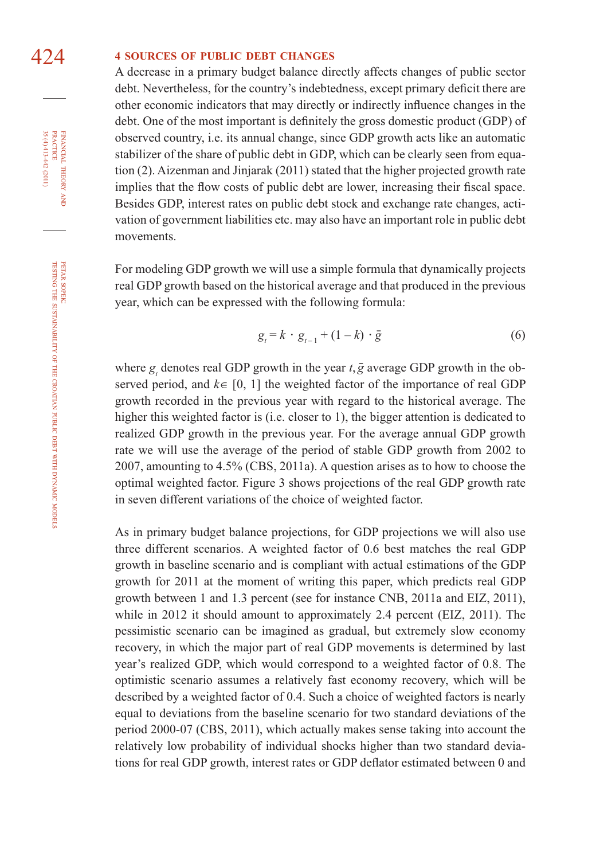## 424 **<sup>4</sup> SOURCES OF PUBLIC DEBT CHANGES**

A decrease in a primary budget balance directly affects changes of public sector debt. Nevertheless, for the country's indebtedness, except primary deficit there are other economic indicators that may directly or indirectly influence changes in the debt. One of the most important is definitely the gross domestic product (GDP) of observed country, i.e. its annual change, since GDP growth acts like an automatic stabilizer of the share of public debt in GDP, which can be clearly seen from equation (2). Aizenman and Jinjarak (2011) stated that the higher projected growth rate implies that the flow costs of public debt are lower, increasing their fiscal space. Besides GDP, interest rates on public debt stock and exchange rate changes, activation of government liabilities etc. may also have an important role in public debt movements.

For modeling GDP growth we will use a simple formula that dynamically projects real GDP growth based on the historical average and that produced in the previous year, which can be expressed with the following formula:

$$
g_t = k \cdot g_{t-1} + (1 - k) \cdot \bar{g} \tag{6}
$$

where  $g_t$  denotes real GDP growth in the year  $t$ ,  $\bar{g}$  average GDP growth in the observed period, and *k*∈ [0, 1] the weighted factor of the importance of real GDP growth recorded in the previous year with regard to the historical average. The higher this weighted factor is (i.e. closer to 1), the bigger attention is dedicated to realized GDP growth in the previous year. For the average annual GDP growth rate we will use the average of the period of stable GDP growth from 2002 to 2007, amounting to 4.5% (CBS, 2011a). A question arises as to how to choose the optimal weighted factor. Figure 3 shows projections of the real GDP growth rate in seven different variations of the choice of weighted factor.

As in primary budget balance projections, for GDP projections we will also use three different scenarios. A weighted factor of 0.6 best matches the real GDP growth in baseline scenario and is compliant with actual estimations of the GDP growth for 2011 at the moment of writing this paper, which predicts real GDP growth between 1 and 1.3 percent (see for instance CNB, 2011a and EIZ, 2011), while in 2012 it should amount to approximately 2.4 percent (EIZ, 2011). The pessimistic scenario can be imagined as gradual, but extremely slow economy recovery, in which the major part of real GDP movements is determined by last year's realized GDP, which would correspond to a weighted factor of 0.8. The optimistic scenario assumes a relatively fast economy recovery, which will be described by a weighted factor of 0.4. Such a choice of weighted factors is nearly equal to deviations from the baseline scenario for two standard deviations of the period 2000-07 (CBS, 2011), which actually makes sense taking into account the relatively low probability of individual shocks higher than two standard deviations for real GDP growth, interest rates or GDP deflator estimated between 0 and

35 (4) 413-442 (2011)

FINANCIAL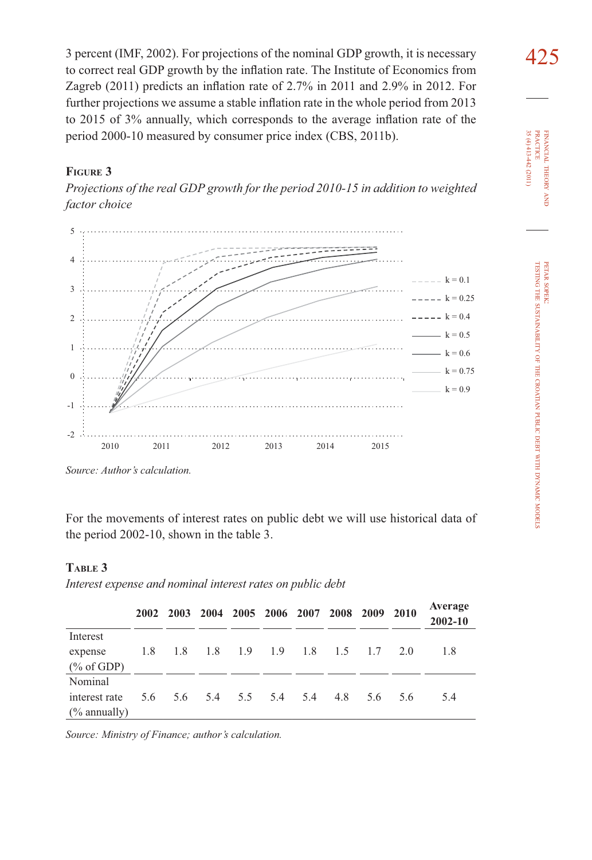3 percent (IMF, 2002). For projections of the nominal GDP growth, it is necessary to correct real GDP growth by the inflation rate. The Institute of Economics from Zagreb (2011) predicts an inflation rate of  $2.7\%$  in 2011 and  $2.9\%$  in 2012. For further projections we assume a stable inflation rate in the whole period from 2013 to 2015 of 3% annually, which corresponds to the average inflation rate of the period 2000-10 measured by consumer price index (CBS, 2011b).

## **FIGURE 3**

*Projections of the real GDP growth for the period 2010-15 in addition to weighted factor choice*



*Source: Author's calculation.*

For the movements of interest rates on public debt we will use historical data of the period 2002-10, shown in the table 3.

#### **TABLE 3**

*Interest expense and nominal interest rates on public debt*

|                         | 2002 |     |         |     | 2003 2004 2005 2006 2007 2008 2009 2010 |     |     |     | Average<br>$2002 - 10$ |
|-------------------------|------|-----|---------|-----|-----------------------------------------|-----|-----|-----|------------------------|
| Interest                |      |     |         |     |                                         |     |     |     |                        |
| expense                 | 1.8  | 1.8 | 1.8 1.9 | 1.9 | 1.8                                     | 1.5 | 1.7 | 2.0 | 1.8                    |
| $(\%$ of GDP)           |      |     |         |     |                                         |     |     |     |                        |
| Nominal                 |      |     |         |     |                                         |     |     |     |                        |
| interest rate           | 5.6  |     |         |     | 5.6 5.4 5.5 5.4 5.4                     | 4.8 | 5.6 | 5.6 | 5.4                    |
| $\frac{6}{6}$ annually) |      |     |         |     |                                         |     |     |     |                        |

*Source: Ministry of Finance; author's calculation.*

PRACTICE<br>35 (4) 413-442 (2011) PRACTICE FINANCIAL THEORY FINANCIAL 35 (4) 413-442 (2011) THEORY AND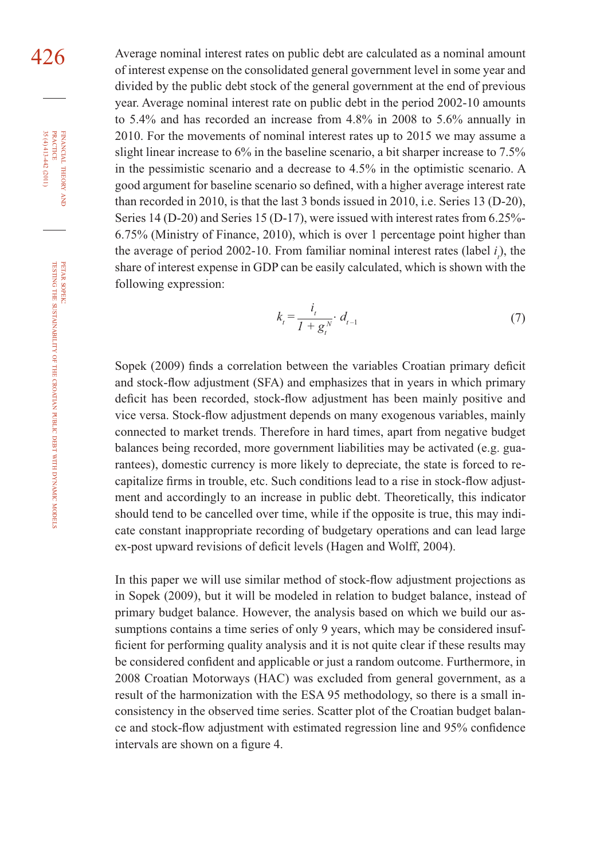426 Average nominal interest rates on public debt are calculated as a nominal amount of interest expense on the consolidated general government level in some year and divided by the public debt stock of the general government at the end of previous year. Average nominal interest rate on public debt in the period 2002-10 amounts to 5.4% and has recorded an increase from 4.8% in 2008 to 5.6% annually in 2010. For the movements of nominal interest rates up to 2015 we may assume a slight linear increase to 6% in the baseline scenario, a bit sharper increase to 7.5% in the pessimistic scenario and a decrease to 4.5% in the optimistic scenario. A good argument for baseline scenario so defined, with a higher average interest rate than recorded in 2010, is that the last 3 bonds issued in 2010, i.e. Series 13 (D-20), Series 14 (D-20) and Series 15 (D-17), were issued with interest rates from 6.25%- 6.75% (Ministry of Finance, 2010), which is over 1 percentage point higher than the average of period 2002-10. From familiar nominal interest rates (label  $i<sub>i</sub>$ ), the share of interest expense in GDP can be easily calculated, which is shown with the following expression:

$$
k_{t} = \frac{i_{t}}{1 + g_{t}^{N}} \cdot d_{t-1}
$$
 (7)

Sopek (2009) finds a correlation between the variables Croatian primary deficit and stock-flow adjustment (SFA) and emphasizes that in years in which primary deficit has been recorded, stock-flow adjustment has been mainly positive and vice versa. Stock-flow adjustment depends on many exogenous variables, mainly connected to market trends. Therefore in hard times, apart from negative budget balances being recorded, more government liabilities may be activated (e.g. guarantees), domestic currency is more likely to depreciate, the state is forced to recapitalize firms in trouble, etc. Such conditions lead to a rise in stock-flow adjustment and accordingly to an increase in public debt. Theoretically, this indicator should tend to be cancelled over time, while if the opposite is true, this may indicate constant inappropriate recording of budgetary operations and can lead large ex-post upward revisions of deficit levels (Hagen and Wolff, 2004).

In this paper we will use similar method of stock-flow adjustment projections as in Sopek (2009), but it will be modeled in relation to budget balance, instead of primary budget balance. However, the analysis based on which we build our assumptions contains a time series of only 9 years, which may be considered insufficient for performing quality analysis and it is not quite clear if these results may be considered confident and applicable or just a random outcome. Furthermore, in 2008 Croatian Motorways (HAC) was excluded from general government, as a result of the harmonization with the ESA 95 methodology, so there is a small inconsistency in the observed time series. Scatter plot of the Croatian budget balance and stock-flow adjustment with estimated regression line and 95% confidence intervals are shown on a figure 4.

FINANCIAL

35 (4) 413-442 (2011)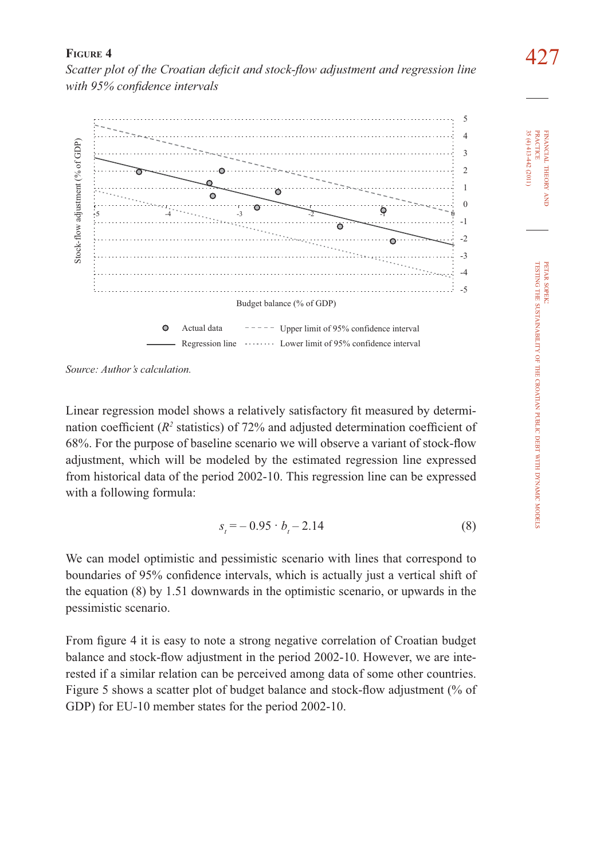427 **FIGURE 4**  *Scatter plot of the Croatian defi cit and stock-fl ow adjustment and regression line*  with 95% confidence intervals



*Source: Author's calculation.*

Linear regression model shows a relatively satisfactory fit measured by determination coefficient ( $R^2$  statistics) of 72% and adjusted determination coefficient of 68%. For the purpose of baseline scenario we will observe a variant of stock-flow adjustment, which will be modeled by the estimated regression line expressed from historical data of the period 2002-10. This regression line can be expressed with a following formula:

$$
s_t = -0.95 \cdot b_t - 2.14 \tag{8}
$$

We can model optimistic and pessimistic scenario with lines that correspond to boundaries of 95% confidence intervals, which is actually just a vertical shift of the equation (8) by 1.51 downwards in the optimistic scenario, or upwards in the pessimistic scenario.

From figure 4 it is easy to note a strong negative correlation of Croatian budget balance and stock-flow adjustment in the period 2002-10. However, we are interested if a similar relation can be perceived among data of some other countries. Figure 5 shows a scatter plot of budget balance and stock-flow adjustment (% of GDP) for EU-10 member states for the period 2002-10.

FINANCIAL

FINANCIAL THEORY

35 (4) 413-442 (2011) PRACTICE

 $35(4)413-442(2011)$ **PRACTICE** 

THEORY AND

PETAR SOPEK: TESTING THE

SUSTAINABILITY

OF THE

CROATIAN

PUBLIC DEBT WITH DYNAMIC

MODELS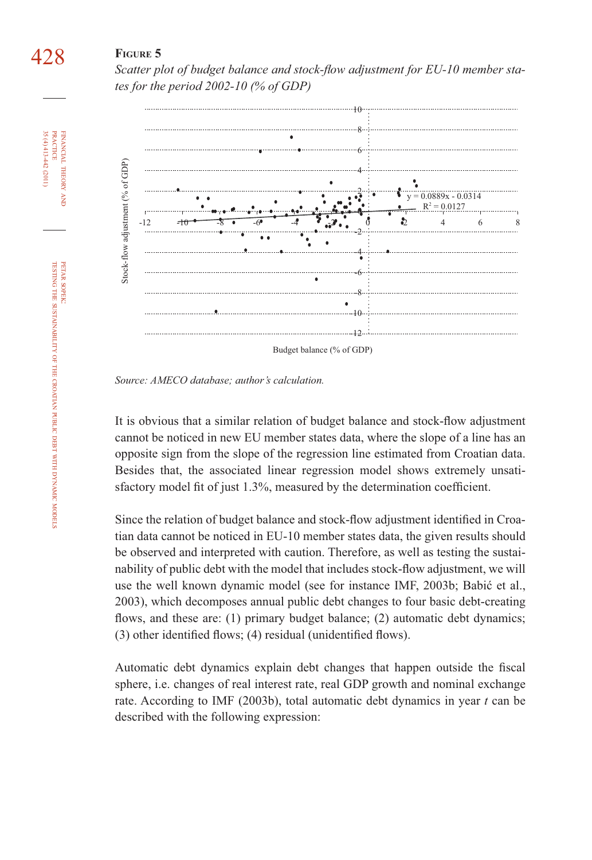# 428 **FIGURE 5**

Scatter plot of budget balance and stock-flow adjustment for EU-10 member sta*tes for the period 2002-10 (% of GDP)*



*Source: AMECO database; author's calculation.*

It is obvious that a similar relation of budget balance and stock-flow adjustment cannot be noticed in new EU member states data, where the slope of a line has an opposite sign from the slope of the regression line estimated from Croatian data. Besides that, the associated linear regression model shows extremely unsatisfactory model fit of just 1.3%, measured by the determination coefficient.

Since the relation of budget balance and stock-flow adjustment identified in Croatian data cannot be noticed in EU-10 member states data, the given results should be observed and interpreted with caution. Therefore, as well as testing the sustainability of public debt with the model that includes stock-flow adjustment, we will use the well known dynamic model (see for instance IMF, 2003b; Babić et al., 2003), which decomposes annual public debt changes to four basic debt-creating flows, and these are: (1) primary budget balance; (2) automatic debt dynamics;  $(3)$  other identified flows;  $(4)$  residual (unidentified flows).

Automatic debt dynamics explain debt changes that happen outside the fiscal sphere, i.e. changes of real interest rate, real GDP growth and nominal exchange rate. According to IMF (2003b), total automatic debt dynamics in year *t* can be described with the following expression:

FINANCIAL

35 (4) 413-442 (2011) PRACTICE

35 (4) 413-442 (2011) **PRACTICE** FINANCIAL THEORY

THEORY AND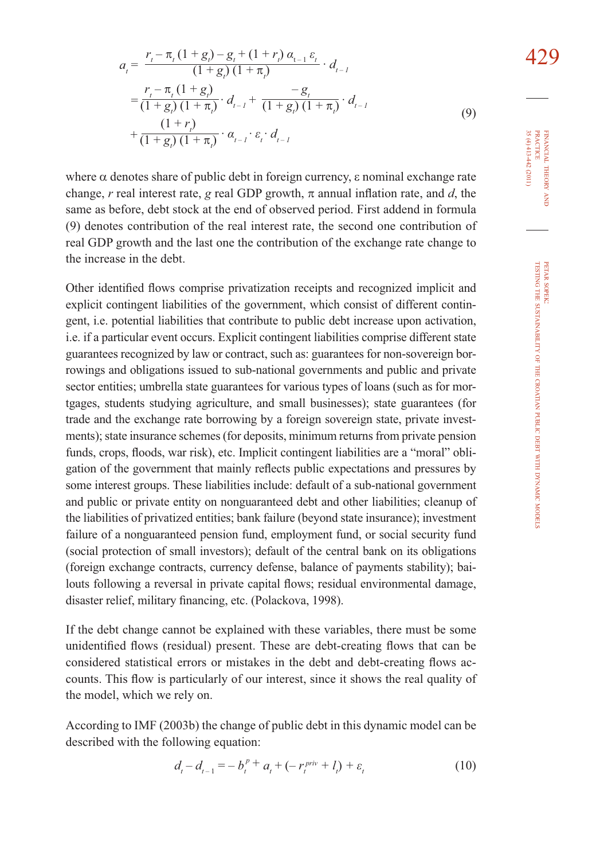$$
a_{t} = \frac{r_{t} - \pi_{t} (1 + g_{t}) - g_{t} + (1 + r_{t}) \alpha_{t-1} \varepsilon_{t}}{(1 + g_{t}) (1 + \pi_{t})} \cdot d_{t-1}
$$
\n
$$
= \frac{r_{t} - \pi_{t} (1 + g_{t})}{(1 + g_{t}) (1 + \pi_{t})} \cdot d_{t-1} + \frac{-g_{t}}{(1 + g_{t}) (1 + \pi_{t})} \cdot d_{t-1}
$$
\n
$$
+ \frac{(1 + r_{t})}{(1 + g_{t}) (1 + \pi_{t})} \cdot \alpha_{t-1} \cdot \varepsilon_{t} \cdot d_{t-1}
$$
\n(9)

where  $\alpha$  denotes share of public debt in foreign currency,  $\varepsilon$  nominal exchange rate change, *r* real interest rate, *g* real GDP growth,  $\pi$  annual inflation rate, and *d*, the same as before, debt stock at the end of observed period. First addend in formula (9) denotes contribution of the real interest rate, the second one contribution of real GDP growth and the last one the contribution of the exchange rate change to the increase in the debt.

Other identified flows comprise privatization receipts and recognized implicit and explicit contingent liabilities of the government, which consist of different contingent, i.e. potential liabilities that contribute to public debt increase upon activation, i.e. if a particular event occurs. Explicit contingent liabilities comprise different state guarantees recognized by law or contract, such as: guarantees for non-sovereign borrowings and obligations issued to sub-national governments and public and private sector entities; umbrella state guarantees for various types of loans (such as for mortgages, students studying agriculture, and small businesses); state guarantees (for trade and the exchange rate borrowing by a foreign sovereign state, private investments); state insurance schemes (for deposits, minimum returns from private pension funds, crops, floods, war risk), etc. Implicit contingent liabilities are a "moral" obligation of the government that mainly reflects public expectations and pressures by some interest groups. These liabilities include: default of a sub-national government and public or private entity on nonguaranteed debt and other liabilities; cleanup of the liabilities of privatized entities; bank failure (beyond state insurance); investment failure of a nonguaranteed pension fund, employment fund, or social security fund (social protection of small investors); default of the central bank on its obligations (foreign exchange contracts, currency defense, balance of payments stability); bailouts following a reversal in private capital flows; residual environmental damage, disaster relief, military financing, etc. (Polackova, 1998).

If the debt change cannot be explained with these variables, there must be some unidentified flows (residual) present. These are debt-creating flows that can be considered statistical errors or mistakes in the debt and debt-creating flows accounts. This flow is particularly of our interest, since it shows the real quality of the model, which we rely on.

According to IMF (2003b) the change of public debt in this dynamic model can be described with the following equation:

$$
d_{t} - d_{t-1} = -b_{t}^{p+1} a_{t} + (-r_{t}^{priv} + l_{t}) + \varepsilon_{t}
$$
 (10)

FINANCIAL

PRACTICE<br>35 (4) 413-442 (2011)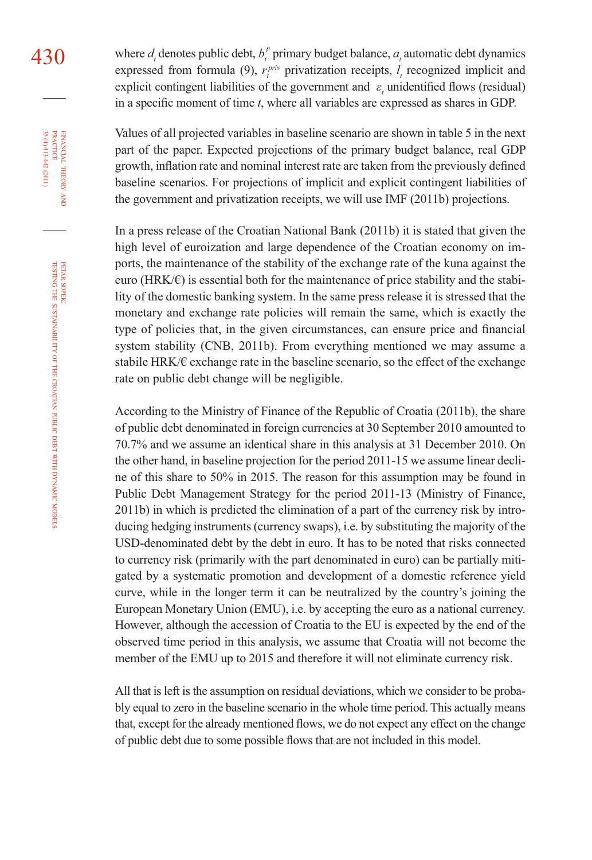denotes public debt,  $b_t^p$  primary budget balance,  $a_t$  automatic debt dynamics expressed from formula (9),  $r_i^{priv}$  privatization receipts,  $l_i$  recognized implicit and explicit contingent liabilities of the government and  $\varepsilon$ <sub>t</sub> unidentified flows (residual) in a specific moment of time  $t$ , where all variables are expressed as shares in GDP.

Values of all projected variables in baseline scenario are shown in table 5 in the next part of the paper. Expected projections of the primary budget balance, real GDP growth, inflation rate and nominal interest rate are taken from the previously defined baseline scenarios. For projections of implicit and explicit contingent liabilities of the government and privatization receipts, we will use IMF (2011b) projections.

In a press release of the Croatian National Bank (2011b) it is stated that given the high level of euroization and large dependence of the Croatian economy on imports, the maintenance of the stability of the exchange rate of the kuna against the euro ( $HRK/\epsilon$ ) is essential both for the maintenance of price stability and the stability of the domestic banking system. In the same press release it is stressed that the monetary and exchange rate policies will remain the same, which is exactly the type of policies that, in the given circumstances, can ensure price and financial system stability (CNB, 2011b). From everything mentioned we may assume a stabile HRK/ $\epsilon$  exchange rate in the baseline scenario, so the effect of the exchange rate on public debt change will be negligible.

According to the Ministry of Finance of the Republic of Croatia (2011b), the share of public debt denominated in foreign currencies at 30 September 2010 amounted to 70.7% and we assume an identical share in this analysis at 31 December 2010. On the other hand, in baseline projection for the period 2011-15 we assume linear decline of this share to 50% in 2015. The reason for this assumption may be found in Public Debt Management Strategy for the period 2011-13 (Ministry of Finance, 2011b) in which is predicted the elimination of a part of the currency risk by introducing hedging instruments (currency swaps), i.e. by substituting the majority of the USD-denominated debt by the debt in euro. It has to be noted that risks connected to currency risk (primarily with the part denominated in euro) can be partially mitigated by a systematic promotion and development of a domestic reference yield curve, while in the longer term it can be neutralized by the country's joining the European Monetary Union (EMU), i.e. by accepting the euro as a national currency. However, although the accession of Croatia to the EU is expected by the end of the observed time period in this analysis, we assume that Croatia will not become the member of the EMU up to 2015 and therefore it will not eliminate currency risk.

All that is left is the assumption on residual deviations, which we consider to be probably equal to zero in the baseline scenario in the whole time period. This actually means that, except for the already mentioned flows, we do not expect any effect on the change of public debt due to some possible flows that are not included in this model.

PETAR

FINANCIAL

35 (4) 413-442 (2011)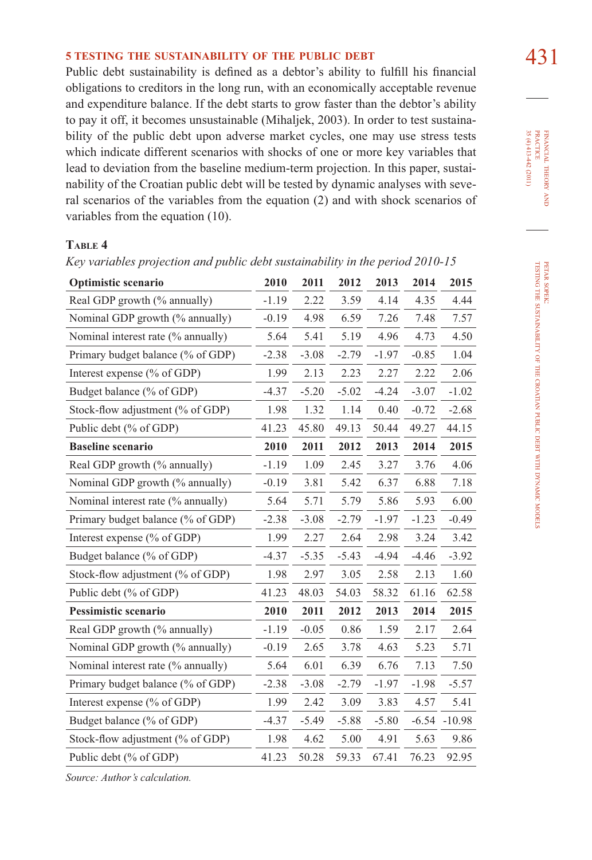# **5 TESTING THE SUSTAINABILITY OF THE PUBLIC DEBT** 431

Public debt sustainability is defined as a debtor's ability to fulfill his financial obligations to creditors in the long run, with an economically acceptable revenue and expenditure balance. If the debt starts to grow faster than the debtor's ability to pay it off, it becomes unsustainable (Mihaljek, 2003). In order to test sustainability of the public debt upon adverse market cycles, one may use stress tests which indicate different scenarios with shocks of one or more key variables that lead to deviation from the baseline medium-term projection. In this paper, sustainability of the Croatian public debt will be tested by dynamic analyses with several scenarios of the variables from the equation (2) and with shock scenarios of variables from the equation (10).

#### **TABLE 4**

| Optimistic scenario                | 2010    | 2011    | 2012    | 2013    | 2014    | 2015     |
|------------------------------------|---------|---------|---------|---------|---------|----------|
| Real GDP growth (% annually)       | $-1.19$ | 2.22    | 3.59    | 4.14    | 4.35    | 4.44     |
| Nominal GDP growth (% annually)    | $-0.19$ | 4.98    | 6.59    | 7.26    | 7.48    | 7.57     |
| Nominal interest rate (% annually) | 5.64    | 5.41    | 5.19    | 4.96    | 4.73    | 4.50     |
| Primary budget balance (% of GDP)  | $-2.38$ | $-3.08$ | $-2.79$ | $-1.97$ | $-0.85$ | 1.04     |
| Interest expense (% of GDP)        | 1.99    | 2.13    | 2.23    | 2.27    | 2.22    | 2.06     |
| Budget balance (% of GDP)          | $-4.37$ | $-5.20$ | $-5.02$ | $-4.24$ | $-3.07$ | $-1.02$  |
| Stock-flow adjustment (% of GDP)   | 1.98    | 1.32    | 1.14    | 0.40    | $-0.72$ | $-2.68$  |
| Public debt (% of GDP)             | 41.23   | 45.80   | 49.13   | 50.44   | 49.27   | 44.15    |
| <b>Baseline scenario</b>           | 2010    | 2011    | 2012    | 2013    | 2014    | 2015     |
| Real GDP growth (% annually)       | $-1.19$ | 1.09    | 2.45    | 3.27    | 3.76    | 4.06     |
| Nominal GDP growth (% annually)    | $-0.19$ | 3.81    | 5.42    | 6.37    | 6.88    | 7.18     |
| Nominal interest rate (% annually) | 5.64    | 5.71    | 5.79    | 5.86    | 5.93    | 6.00     |
| Primary budget balance (% of GDP)  | $-2.38$ | $-3.08$ | $-2.79$ | $-1.97$ | $-1.23$ | $-0.49$  |
| Interest expense (% of GDP)        | 1.99    | 2.27    | 2.64    | 2.98    | 3.24    | 3.42     |
| Budget balance (% of GDP)          | $-4.37$ | $-5.35$ | $-5.43$ | $-4.94$ | $-4.46$ | $-3.92$  |
| Stock-flow adjustment (% of GDP)   | 1.98    | 2.97    | 3.05    | 2.58    | 2.13    | 1.60     |
| Public debt (% of GDP)             | 41.23   | 48.03   | 54.03   | 58.32   | 61.16   | 62.58    |
| Pessimistic scenario               | 2010    | 2011    | 2012    | 2013    | 2014    | 2015     |
| Real GDP growth (% annually)       | $-1.19$ | $-0.05$ | 0.86    | 1.59    | 2.17    | 2.64     |
| Nominal GDP growth (% annually)    | $-0.19$ | 2.65    | 3.78    | 4.63    | 5.23    | 5.71     |
| Nominal interest rate (% annually) | 5.64    | 6.01    | 6.39    | 6.76    | 7.13    | 7.50     |
| Primary budget balance (% of GDP)  | $-2.38$ | $-3.08$ | $-2.79$ | $-1.97$ | $-1.98$ | $-5.57$  |
| Interest expense (% of GDP)        | 1.99    | 2.42    | 3.09    | 3.83    | 4.57    | 5.41     |
| Budget balance (% of GDP)          | $-4.37$ | $-5.49$ | $-5.88$ | $-5.80$ | $-6.54$ | $-10.98$ |
| Stock-flow adjustment (% of GDP)   | 1.98    | 4.62    | 5.00    | 4.91    | 5.63    | 9.86     |
| Public debt (% of GDP)             | 41.23   | 50.28   | 59.33   | 67.41   | 76.23   | 92.95    |
|                                    |         |         |         |         |         |          |

*Key variables projection and public debt sustainability in the period 2010-15*

*Source: Author's calculation.*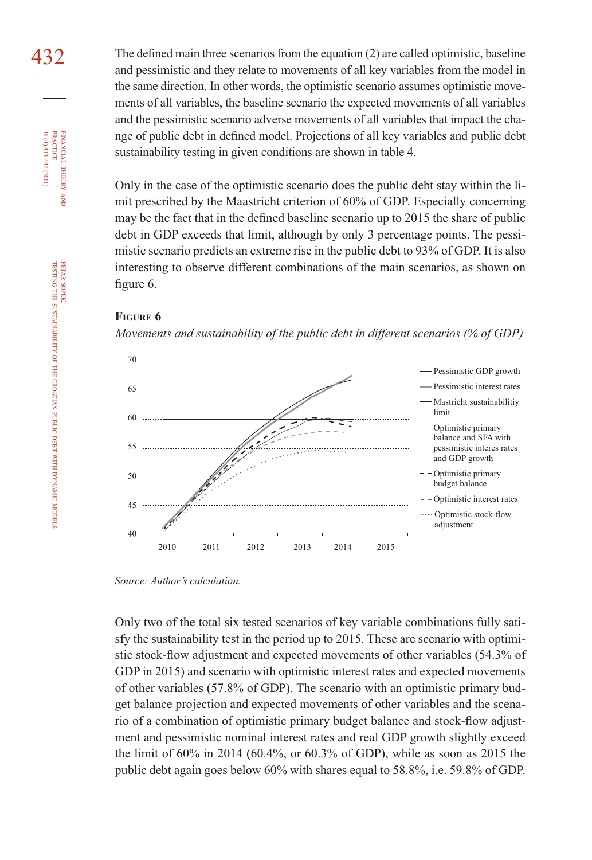432 The defined main three scenarios from the equation (2) are called optimistic, baseline and pessimistic and they relate to movements of all key variables from the model in the same direction. In other words, the optimistic scenario assumes optimistic movements of all variables, the baseline scenario the expected movements of all variables and the pessimistic scenario adverse movements of all variables that impact the change of public debt in defined model. Projections of all key variables and public debt sustainability testing in given conditions are shown in table 4.

> Only in the case of the optimistic scenario does the public debt stay within the limit prescribed by the Maastricht criterion of 60% of GDP. Especially concerning may be the fact that in the defined baseline scenario up to 2015 the share of public debt in GDP exceeds that limit, although by only 3 percentage points. The pessimistic scenario predicts an extreme rise in the public debt to 93% of GDP. It is also interesting to observe different combinations of the main scenarios, as shown on figure 6.

#### **FIGURE 6**

*Movements and sustainability of the public debt in different scenarios (% of GDP)*



*Source: Author's calculation.*

Only two of the total six tested scenarios of key variable combinations fully satisfy the sustainability test in the period up to 2015. These are scenario with optimistic stock-flow adjustment and expected movements of other variables (54.3% of GDP in 2015) and scenario with optimistic interest rates and expected movements of other variables (57.8% of GDP). The scenario with an optimistic primary budget balance projection and expected movements of other variables and the scenario of a combination of optimistic primary budget balance and stock-flow adjustment and pessimistic nominal interest rates and real GDP growth slightly exceed the limit of 60% in 2014 (60.4%, or 60.3% of GDP), while as soon as 2015 the public debt again goes below 60% with shares equal to 58.8%, i.e. 59.8% of GDP.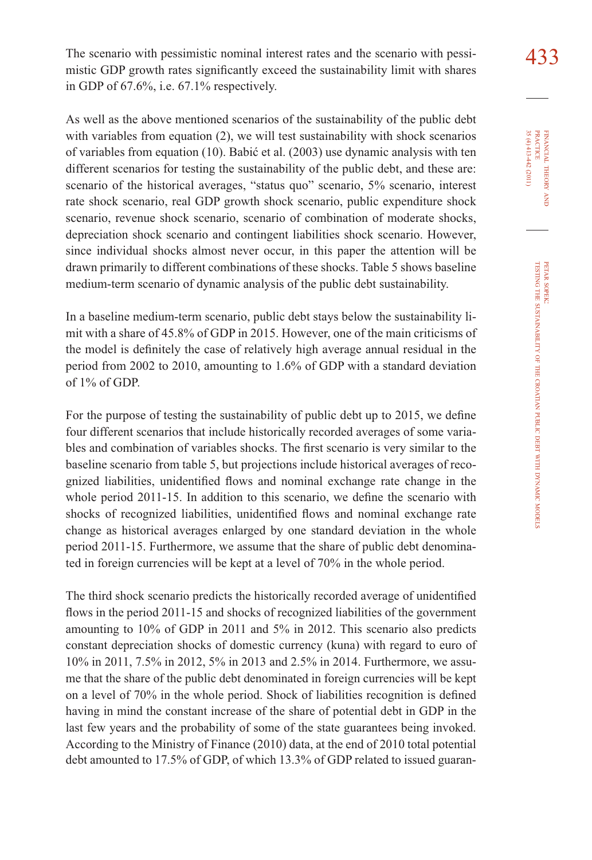The scenario with pessimistic nominal interest rates and the scenario with pessi- $\frac{433}{125}$ mistic GDP growth rates significantly exceed the sustainability limit with shares in GDP of 67.6%, i.e. 67.1% respectively.

As well as the above mentioned scenarios of the sustainability of the public debt with variables from equation (2), we will test sustainability with shock scenarios of variables from equation (10). Babić et al. (2003) use dynamic analysis with ten different scenarios for testing the sustainability of the public debt, and these are: scenario of the historical averages, "status quo" scenario, 5% scenario, interest rate shock scenario, real GDP growth shock scenario, public expenditure shock scenario, revenue shock scenario, scenario of combination of moderate shocks, depreciation shock scenario and contingent liabilities shock scenario. However, since individual shocks almost never occur, in this paper the attention will be drawn primarily to different combinations of these shocks. Table 5 shows baseline medium-term scenario of dynamic analysis of the public debt sustainability.

In a baseline medium-term scenario, public debt stays below the sustainability limit with a share of 45.8% of GDP in 2015. However, one of the main criticisms of the model is definitely the case of relatively high average annual residual in the period from 2002 to 2010, amounting to 1.6% of GDP with a standard deviation of 1% of GDP.

For the purpose of testing the sustainability of public debt up to 2015, we define four different scenarios that include historically recorded averages of some variables and combination of variables shocks. The first scenario is very similar to the baseline scenario from table 5, but projections include historical averages of recognized liabilities, unidentified flows and nominal exchange rate change in the whole period  $2011-15$ . In addition to this scenario, we define the scenario with shocks of recognized liabilities, unidentified flows and nominal exchange rate change as historical averages enlarged by one standard deviation in the whole period 2011-15. Furthermore, we assume that the share of public debt denominated in foreign currencies will be kept at a level of 70% in the whole period.

The third shock scenario predicts the historically recorded average of unidentified flows in the period 2011-15 and shocks of recognized liabilities of the government amounting to 10% of GDP in 2011 and 5% in 2012. This scenario also predicts constant depreciation shocks of domestic currency (kuna) with regard to euro of 10% in 2011, 7.5% in 2012, 5% in 2013 and 2.5% in 2014. Furthermore, we assume that the share of the public debt denominated in foreign currencies will be kept on a level of 70% in the whole period. Shock of liabilities recognition is defined having in mind the constant increase of the share of potential debt in GDP in the last few years and the probability of some of the state guarantees being invoked. According to the Ministry of Finance (2010) data, at the end of 2010 total potential debt amounted to 17.5% of GDP, of which 13.3% of GDP related to issued guaran-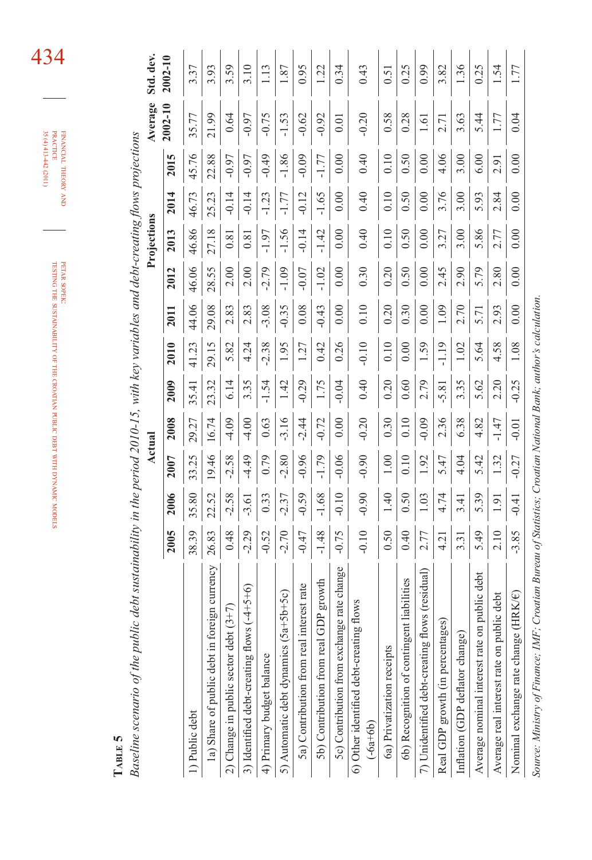| i<br>.<br>.<br>.<br>$\ddot{\phantom{a}}$<br>$\sim$ $\sim$ $\sim$ $\sim$ $\sim$ $\sim$ $\sim$ $\sim$<br>i<br>こうくうかん こうこう くじじょく じじじゅつ | ļ |
|-------------------------------------------------------------------------------------------------------------------------------------|---|
|                                                                                                                                     |   |

 $35(4)413442(2011)$  $\tt{FINANCIAL THEORY AND}$ 35 (4) 413-442 (2011) PRACTICE FINANCIAL THEORY

> **TABLE 5**  TABLE 5

Baseline scenario of the public debt sustainability in the period  $2010-15$ , with key variables and debt-creating flows projections *Baseline scenario of the public debt sustainability in the period 2010-15, with key variables and debt-creating flows projections* 

| $\omega$ constant the position of $\omega$<br>Departement of the Department of |         |               |         | Actual  |         |         |         |         | when you cannot we have the way of the way<br>Projections |         |          | Average           | Std. dev. |
|--------------------------------------------------------------------------------|---------|---------------|---------|---------|---------|---------|---------|---------|-----------------------------------------------------------|---------|----------|-------------------|-----------|
|                                                                                | 2005    | 2006          | 2007    | 2008    | 2009    | 2010    | 2011    | 2012    | 2013                                                      | 2014    | m<br>201 | $2002 - 10$       | 2002-10   |
| .) Public debt                                                                 | 8.39    | 5.80          | 33.25   | 29.27   | 35.41   | 41.23   | 44.06   | 46.06   | 46.86                                                     | 46.73   | 45.76    | 35.77             | 3.37      |
| 1a) Share of public debt in foreign currency                                   | 26.83   | 22.52         | 19.46   | 16.74   | 23.32   | 29.15   | 29.08   | 28.55   | 27.18                                                     | 25.23   | 22.88    | 21.99             | 93        |
| 2) Change in public sector debt $(3+7)$                                        | 0.48    | $-2.58$       | $-2.58$ | $-4.09$ | 6.14    | 5.82    | 2.83    | 2.00    | $\overline{0.8}$                                          |         | $-0.97$  | 0.64              | 3.59      |
| $+5+6$<br>3) Identified debt-creating flows (-4                                | $-2.29$ | $-3.61$       | $-4.49$ | $-4.00$ | 3.35    | 4.24    | 2.83    | 2.00    | 0.81                                                      |         | $-0.97$  | $-0.97$           |           |
| 4) Primary budget balance                                                      | $-0.52$ | 0.33          | 0.79    | 0.63    | $-1.54$ | $-2.38$ | $-3.08$ | $-2.79$ | 1.97                                                      | 1.23    | $-0.49$  | $-0.75$           | 1.13      |
| $0+5c$<br>5) Automatic debt dynamics (5a+5b                                    | $-2.70$ | $-2.37$       | $-2.80$ | $-3.16$ | 1.42    | 1.95    | $-0.35$ | $-1.09$ | 1.56                                                      | 1.77    | $-1.86$  | $-1.53$           | 1.87      |
| st rate<br>5a) Contribution from real intere                                   | $-0.47$ | $-0.59$       | $-0.96$ | $-2.44$ | $-0.29$ | 1.27    | 0.08    | $-0.07$ | $-0.14$                                                   | $-0.12$ | $-0.09$  | $-0.62$           | 0.95      |
| growth<br>5b) Contribution from real GDP                                       | $-1.48$ | $-1.68$       | $-1.79$ | $-0.72$ | 1.75    | 0.42    | $-0.43$ | $-1.02$ | $-1.42$                                                   | $-1.65$ | $-1.77$  | $-0.92$           | 1.22      |
| 5c) Contribution from exchange rate change                                     | $-0.75$ | $-0.10$       | $-0.06$ | 0.00    | $-0.04$ | 0.26    | 0.00    | 0.00    | 0.00                                                      | 0.00    | 0.00     | $\overline{0.01}$ | 0.34      |
| 6) Other identified debt-creating flows<br>$(-6a+6b)$                          | $-0.10$ | $-0.90$       | $-0.90$ | $-0.20$ | 0.40    | $-0.10$ | 0.10    | 0.30    | 0.40                                                      | 0.40    | 0.40     | $-0.20$           | 0.43      |
| 6a) Privatization receipts                                                     | 0.50    | 1.40          | 00.1    | 0.30    | 0.20    | 0.10    | 0.20    | 0.20    | 0.10                                                      | 0.10    | 0.10     | 0.58              | 0.51      |
| abilities<br>6b) Recognition of contingent lia                                 | 0.40    | 0.50          | 0.10    | 0.10    | 0.60    | 0.00    | 0.30    | 0.50    | 0.50                                                      | 0.50    | 0.50     | 0.28              | 0.25      |
| (residual)<br>7) Unidentified debt-creating flows                              | 2.77    | 1.03          | 1.92    | $-0.09$ | 2.79    | 1.59    | 0.00    | 0.00    | 0.00                                                      | 0.00    | 0.00     | $\overline{1.61}$ | 0.99      |
| Real GDP growth (in percentages)                                               | 4.21    | 4.74          | 5.47    | 2.36    | $-5.81$ | 1.19    | 1.09    | 2.45    | 3.27                                                      | 3.76    | 4.06     | 2.71              | 3.82      |
| Inflation (GDP deflator change)                                                | 3.31    | 3.41          | 4.04    | 6.38    | 3.35    | 1.02    | 2.70    | 2.90    | 3.00                                                      | 3.00    | 3.00     | 3.63              | 1.36      |
| debt<br>$b$ lic<br>Average nominal interest rate on pu                         | 5.49    | 5.39          | 5.42    | 4.82    | 5.62    | 5.64    | 5.71    | 5.79    | 5.86                                                      | 5.93    | 6.00     | 5.44              | 0.25      |
| debt<br>Average real interest rate on public                                   | 2.10    | $\frac{1}{9}$ | 1.32    | $-1.47$ | 2.20    | 4.58    | 2.93    | 2.80    | 2.77                                                      | 2.84    | 2.91     | 1.77              | 1.54      |
| K∕€)<br>Nominal exchange rate change (HR                                       | $-3.85$ | $-0.41$       | $-0.27$ | $-0.01$ | $-0.25$ | 1.08    | 0.00    | 0.00    | 0.00                                                      | 0.00    | 0.00     | 0.04              | 1.77      |

Source: Ministry of Finance; IMF; Croatian Bureau of Statistics; Croatian National Bank; author's calculation. *Source: Ministry of Finance; IMF; Croatian Bureau of Statistics; Croatian National Bank; author's calculation.*

434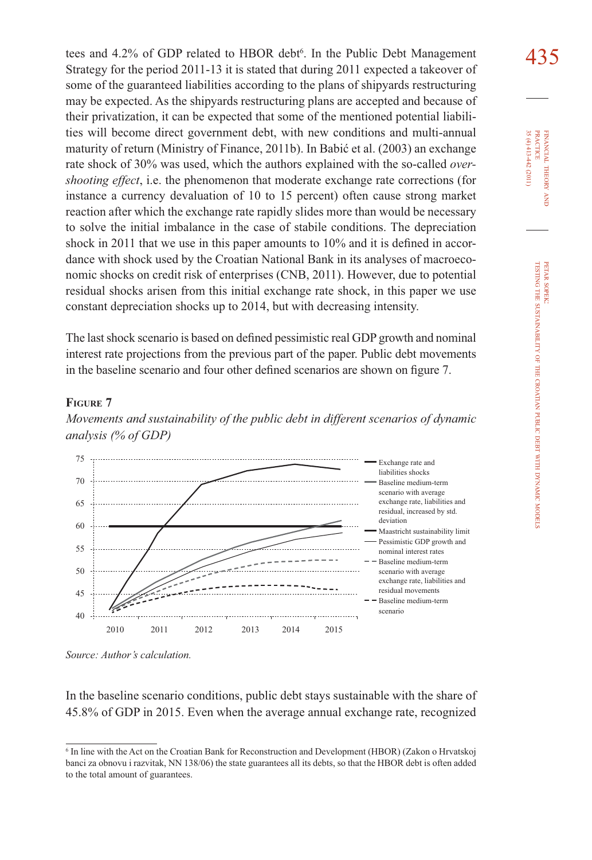tees and 4.2% of GDP related to HBOR debt<sup>6</sup>. In the Public Debt Management  $435$ <br>Strategy for the period 2011–13 it is stated that during 2011 expected a takeover of Strategy for the period 2011-13 it is stated that during 2011 expected a takeover of some of the guaranteed liabilities according to the plans of shipyards restructuring may be expected. As the shipyards restructuring plans are accepted and because of their privatization, it can be expected that some of the mentioned potential liabilities will become direct government debt, with new conditions and multi-annual maturity of return (Ministry of Finance, 2011b). In Babić et al. (2003) an exchange rate shock of 30% was used, which the authors explained with the so-called *overshooting effect*, i.e. the phenomenon that moderate exchange rate corrections (for instance a currency devaluation of 10 to 15 percent) often cause strong market reaction after which the exchange rate rapidly slides more than would be necessary to solve the initial imbalance in the case of stabile conditions. The depreciation shock in 2011 that we use in this paper amounts to  $10\%$  and it is defined in accordance with shock used by the Croatian National Bank in its analyses of macroeconomic shocks on credit risk of enterprises (CNB, 2011). However, due to potential residual shocks arisen from this initial exchange rate shock, in this paper we use constant depreciation shocks up to 2014, but with decreasing intensity.

The last shock scenario is based on defined pessimistic real GDP growth and nominal interest rate projections from the previous part of the paper. Public debt movements in the baseline scenario and four other defined scenarios are shown on figure 7.

#### **FIGURE 7**





*Source: Author's calculation.*

In the baseline scenario conditions, public debt stays sustainable with the share of 45.8% of GDP in 2015. Even when the average annual exchange rate, recognized

<sup>6</sup> In line with the Act on the Croatian Bank for Reconstruction and Development (HBOR) (Zakon o Hrvatskoj banci za obnovu i razvitak, NN 138/06) the state guarantees all its debts, so that the HBOR debt is often added to the total amount of guarantees.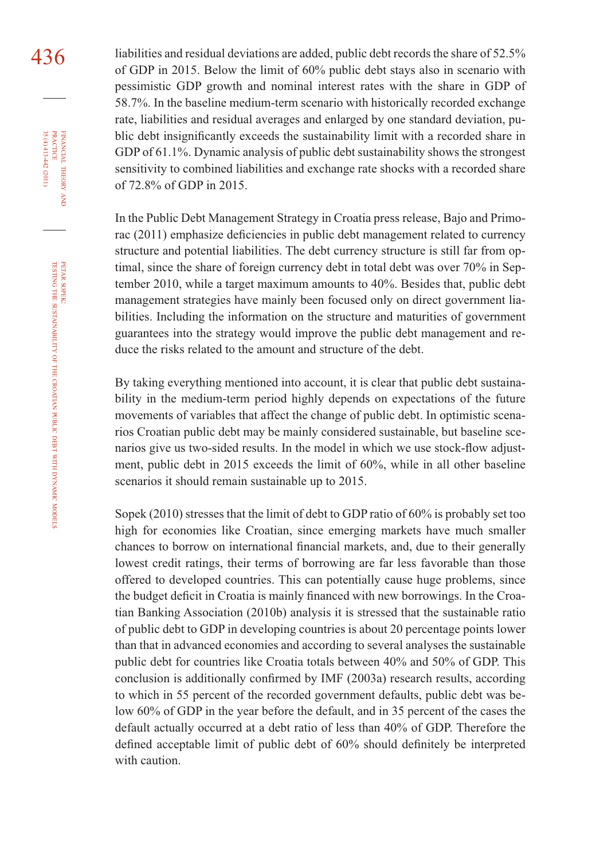436 liabilities and residual deviations are added, public debt records the share of 52.5% of GDP in 2015. Below the limit of 60% public debt stays also in scenario with pessimistic GDP growth and nominal interest rates with the share in GDP of 58.7%. In the baseline medium-term scenario with historically recorded exchange rate, liabilities and residual averages and enlarged by one standard deviation, public debt insignificantly exceeds the sustainability limit with a recorded share in GDP of 61.1%. Dynamic analysis of public debt sustainability shows the strongest sensitivity to combined liabilities and exchange rate shocks with a recorded share of 72.8% of GDP in 2015.

> In the Public Debt Management Strategy in Croatia press release, Bajo and Primorac (2011) emphasize deficiencies in public debt management related to currency structure and potential liabilities. The debt currency structure is still far from optimal, since the share of foreign currency debt in total debt was over 70% in September 2010, while a target maximum amounts to 40%. Besides that, public debt management strategies have mainly been focused only on direct government liabilities. Including the information on the structure and maturities of government guarantees into the strategy would improve the public debt management and reduce the risks related to the amount and structure of the debt.

> By taking everything mentioned into account, it is clear that public debt sustainability in the medium-term period highly depends on expectations of the future movements of variables that affect the change of public debt. In optimistic scenarios Croatian public debt may be mainly considered sustainable, but baseline scenarios give us two-sided results. In the model in which we use stock-flow adjustment, public debt in 2015 exceeds the limit of 60%, while in all other baseline scenarios it should remain sustainable up to 2015.

> Sopek (2010) stresses that the limit of debt to GDP ratio of 60% is probably set too high for economies like Croatian, since emerging markets have much smaller chances to borrow on international financial markets, and, due to their generally lowest credit ratings, their terms of borrowing are far less favorable than those offered to developed countries. This can potentially cause huge problems, since the budget deficit in Croatia is mainly financed with new borrowings. In the Croatian Banking Association (2010b) analysis it is stressed that the sustainable ratio of public debt to GDP in developing countries is about 20 percentage points lower than that in advanced economies and according to several analyses the sustainable public debt for countries like Croatia totals between 40% and 50% of GDP. This conclusion is additionally confirmed by IMF (2003a) research results, according to which in 55 percent of the recorded government defaults, public debt was below 60% of GDP in the year before the default, and in 35 percent of the cases the default actually occurred at a debt ratio of less than 40% of GDP. Therefore the defined acceptable limit of public debt of 60% should definitely be interpreted with caution.

FINANCIAL

THEORY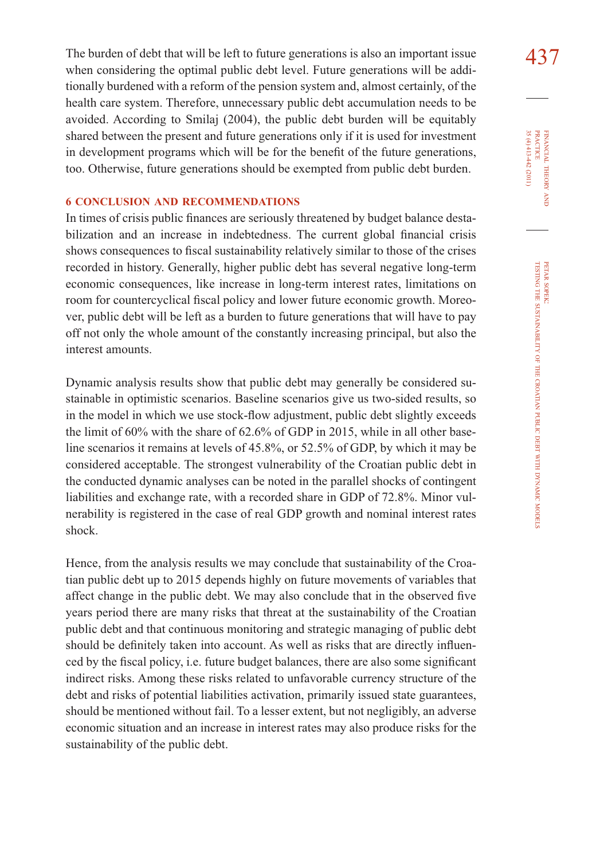The burden of debt that will be left to future generations is also an important issue  $437$ when considering the optimal public debt level. Future generations will be additionally burdened with a reform of the pension system and, almost certainly, of the health care system. Therefore, unnecessary public debt accumulation needs to be avoided. According to Smilaj (2004), the public debt burden will be equitably shared between the present and future generations only if it is used for investment in development programs which will be for the benefit of the future generations, too. Otherwise, future generations should be exempted from public debt burden.

#### **6 CONCLUSION AND RECOMMENDATIONS**

In times of crisis public finances are seriously threatened by budget balance destabilization and an increase in indebtedness. The current global financial crisis shows consequences to fiscal sustainability relatively similar to those of the crises recorded in history. Generally, higher public debt has several negative long-term economic consequences, like increase in long-term interest rates, limitations on room for countercyclical fiscal policy and lower future economic growth. Moreover, public debt will be left as a burden to future generations that will have to pay off not only the whole amount of the constantly increasing principal, but also the interest amounts.

Dynamic analysis results show that public debt may generally be considered sustainable in optimistic scenarios. Baseline scenarios give us two-sided results, so in the model in which we use stock-flow adjustment, public debt slightly exceeds the limit of 60% with the share of 62.6% of GDP in 2015, while in all other baseline scenarios it remains at levels of 45.8%, or 52.5% of GDP, by which it may be considered acceptable. The strongest vulnerability of the Croatian public debt in the conducted dynamic analyses can be noted in the parallel shocks of contingent liabilities and exchange rate, with a recorded share in GDP of 72.8%. Minor vulnerability is registered in the case of real GDP growth and nominal interest rates shock.

Hence, from the analysis results we may conclude that sustainability of the Croatian public debt up to 2015 depends highly on future movements of variables that affect change in the public debt. We may also conclude that in the observed five years period there are many risks that threat at the sustainability of the Croatian public debt and that continuous monitoring and strategic managing of public debt should be definitely taken into account. As well as risks that are directly influenced by the fiscal policy, i.e. future budget balances, there are also some significant indirect risks. Among these risks related to unfavorable currency structure of the debt and risks of potential liabilities activation, primarily issued state guarantees, should be mentioned without fail. To a lesser extent, but not negligibly, an adverse economic situation and an increase in interest rates may also produce risks for the sustainability of the public debt.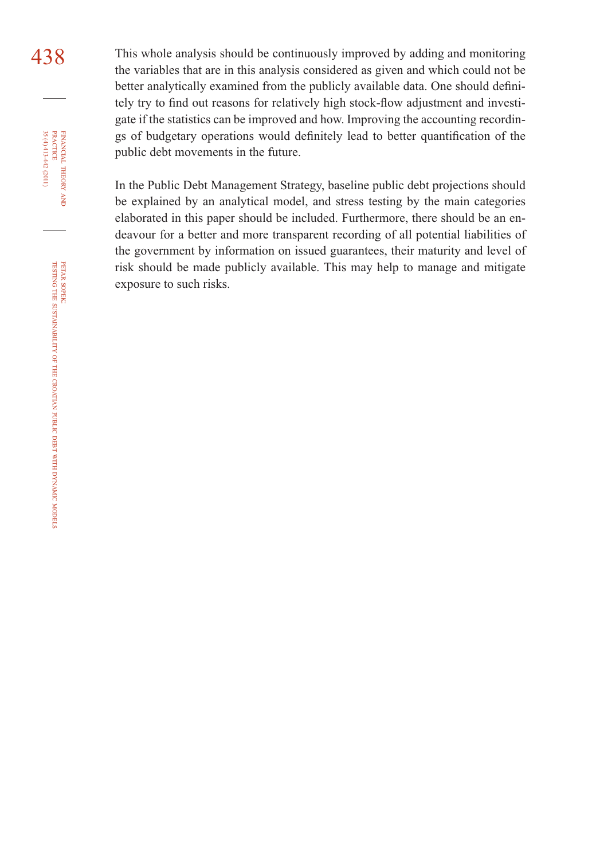438 This whole analysis should be continuously improved by adding and monitoring the variables that are in this analysis considered as given and which could not be better analytically examined from the publicly available data. One should definitely try to find out reasons for relatively high stock-flow adjustment and investigate if the statistics can be improved and how. Improving the accounting recordings of budgetary operations would definitely lead to better quantification of the public debt movements in the future.

> In the Public Debt Management Strategy, baseline public debt projections should be explained by an analytical model, and stress testing by the main categories elaborated in this paper should be included. Furthermore, there should be an endeavour for a better and more transparent recording of all potential liabilities of the government by information on issued guarantees, their maturity and level of risk should be made publicly available. This may help to manage and mitigate exposure to such risks.

FINANCIAL

35 (4) 413-442 (2011)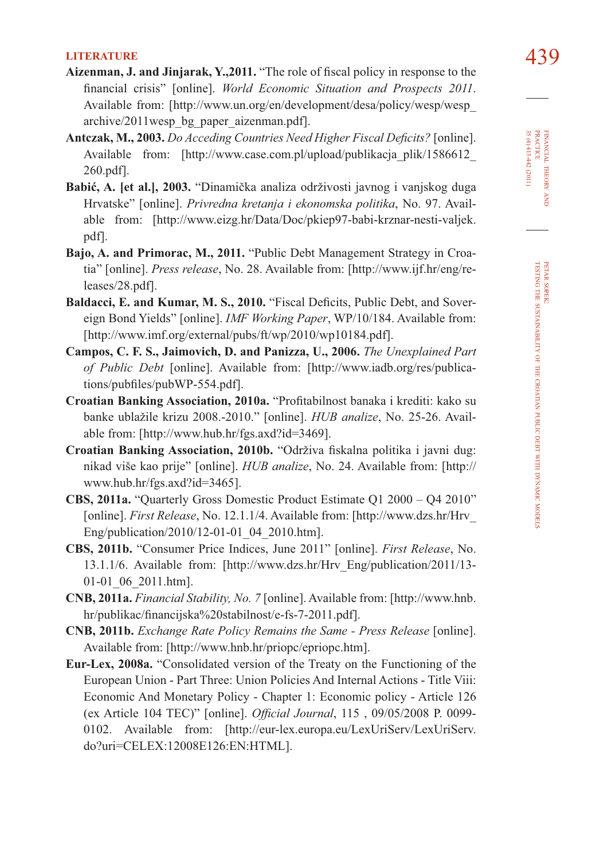- LITERATURE 439<br>**Aizenman, J. and Jinjarak, Y.,2011.** "The role of fiscal policy in response to the financial crisis" [online]. *World Economic Situation and Prospects 2011*. Available from: [http://www.un.org/en/development/desa/policy/wesp/wesp\_ archive/2011wesp\_bg\_paper\_aizenman.pdf].
- Antczak, M., 2003. *Do Acceding Countries Need Higher Fiscal Deficits?* [online]. Available from: [http://www.case.com.pl/upload/publikacja\_plik/1586612 260.pdf].
- **Babić, A. [et al.], 2003.** "Dinamička analiza održivosti javnog i vanjskog duga Hrvatske" [online]. *Privredna kretanja i ekonomska politika*, No. 97. Available from: [http://www.eizg.hr/Data/Doc/pkiep97-babi-krznar-nesti-valjek. pdf].
- **Bajo, A. and Primorac, M., 2011.** "Public Debt Management Strategy in Croatia" [online]. *Press release*, No. 28. Available from: [http://www.ijf.hr/eng/releases/28.pdf].
- Baldacci, E. and Kumar, M. S., 2010. "Fiscal Deficits, Public Debt, and Sovereign Bond Yields" [online]. *IMF Working Paper*, WP/10/184. Available from: [http://www.imf.org/external/pubs/ft/wp/2010/wp10184.pdf].
- **Campos, C. F. S., Jaimovich, D. and Panizza, U., 2006.** *The Unexplained Part of Public Debt* [online]. Available from: [http://www.iadb.org/res/publications/pubfiles/pubWP-554.pdf].
- **Croatian Banking Association, 2010a.** "Profitabilnost banaka i krediti: kako su banke ublažile krizu 2008.-2010." [online]. *HUB analize*, No. 25-26. Available from: [http://www.hub.hr/fgs.axd?id=3469].
- **Croatian Banking Association, 2010b.** "Održiva fiskalna politika i javni dug: nikad više kao prije" [online]. *HUB analize*, No. 24. Available from: [http:// www.hub.hr/fgs.axd?id=3465].
- **CBS, 2011a.** "Quarterly Gross Domestic Product Estimate Q1 2000 Q4 2010" [online]. *First Release*, No. 12.1.1/4. Available from: [http://www.dzs.hr/Hrv\_ Eng/publication/2010/12-01-01\_04\_2010.htm].
- **CBS, 2011b.** "Consumer Price Indices, June 2011" [online]. *First Release*, No. 13.1.1/6. Available from: [http://www.dzs.hr/Hrv\_Eng/publication/2011/13- 01-01\_06\_2011.htm].
- **CNB, 2011a.** *Financial Stability, No. 7* [online]. Available from: [http://www.hnb. hr/publikac/financijska%20stabilnost/e-fs-7-2011.pdf].
- **CNB, 2011b.** *Exchange Rate Policy Remains the Same Press Release* [online]. Available from: [http://www.hnb.hr/priopc/epriopc.htm].
- **Eur-Lex, 2008a.** "Consolidated version of the Treaty on the Functioning of the European Union - Part Three: Union Policies And Internal Actions - Title Viii: Economic And Monetary Policy - Chapter 1: Economic policy - Article 126 (ex Article 104 TEC)" [online]. *Official Journal*, 115, 09/05/2008 P. 0099-0102. Available from: [http://eur-lex.europa.eu/LexUriServ/LexUriServ. do?uri=CELEX:12008E126:EN:HTML].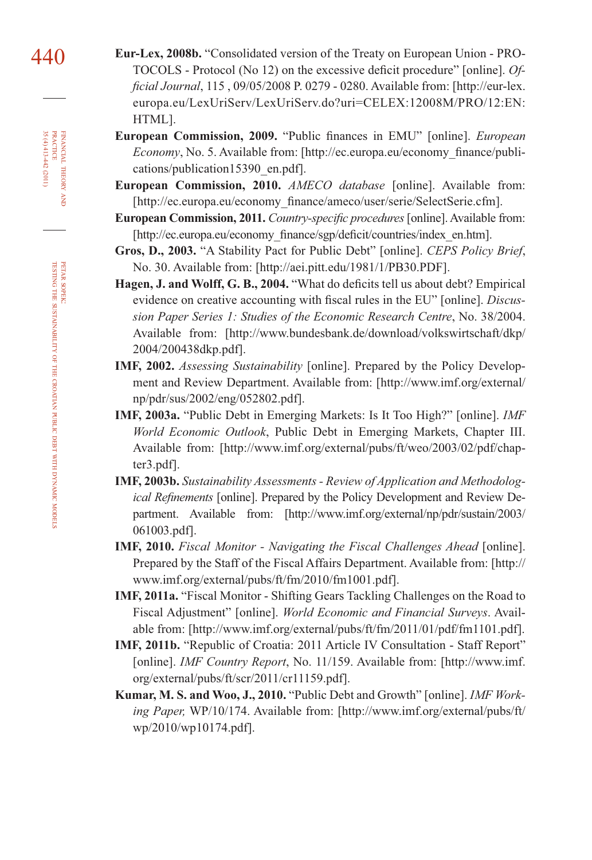- 440 **Eur-Lex, 2008b.** "Consolidated version of the Treaty on European Union PRO-TOCOLS - Protocol (No 12) on the excessive deficit procedure" [online]. *Offi cial Journal*, 115 , 09/05/2008 P. 0279 - 0280. Available from: [http://eur-lex. europa.eu/LexUriServ/LexUriServ.do?uri=CELEX:12008M/PRO/12:EN: HTML].
	- **European Commission, 2009.** "Public finances in EMU" [online]. *European Economy*, No. 5. Available from: [http://ec.europa.eu/economy\_finance/publications/publication15390\_en.pdf].
	- **European Commission, 2010.** *AMECO database* [online]. Available from: [http://ec.europa.eu/economy\_finance/ameco/user/serie/SelectSerie.cfm].
	- **European Commission, 2011.** *Country-specific procedures* [online]. Available from: [http://ec.europa.eu/economy\_finance/sgp/deficit/countries/index\_en.htm].
	- **Gros, D., 2003.** "A Stability Pact for Public Debt" [online]. *CEPS Policy Brief*, No. 30. Available from: [http://aei.pitt.edu/1981/1/PB30.PDF].
	- Hagen, J. and Wolff, G. B., 2004. "What do deficits tell us about debt? Empirical evidence on creative accounting with fiscal rules in the EU" [online]. *Discussion Paper Series 1: Studies of the Economic Research Centre*, No. 38/2004. Available from: [http://www.bundesbank.de/download/volkswirtschaft/dkp/ 2004/200438dkp.pdf].
	- **IMF, 2002.** *Assessing Sustainability* [online]. Prepared by the Policy Development and Review Department. Available from: [http://www.imf.org/external/ np/pdr/sus/2002/eng/052802.pdf].
	- **IMF, 2003a.** "Public Debt in Emerging Markets: Is It Too High?" [online]. *IMF World Economic Outlook*, Public Debt in Emerging Markets, Chapter III. Available from: [http://www.imf.org/external/pubs/ft/weo/2003/02/pdf/chapter3.pdf].
	- **IMF, 2003b.** *Sustainability Assessments Review of Application and Methodological Refinements* [online]. Prepared by the Policy Development and Review Department. Available from: [http://www.imf.org/external/np/pdr/sustain/2003/ 061003.pdf].
	- **IMF, 2010.** *Fiscal Monitor Navigating the Fiscal Challenges Ahead* [online]. Prepared by the Staff of the Fiscal Affairs Department. Available from: [http:// www.imf.org/external/pubs/ft/fm/2010/fm1001.pdf].
	- **IMF, 2011a.** "Fiscal Monitor Shifting Gears Tackling Challenges on the Road to Fiscal Adjustment" [online]. *World Economic and Financial Surveys*. Available from: [http://www.imf.org/external/pubs/ft/fm/2011/01/pdf/fm1101.pdf].
	- **IMF, 2011b.** "Republic of Croatia: 2011 Article IV Consultation Staff Report" [online]. *IMF Country Report*, No. 11/159. Available from: [http://www.imf. org/external/pubs/ft/scr/2011/cr11159.pdf].
	- **Kumar, M. S. and Woo, J., 2010.** "Public Debt and Growth" [online]. *IMF Working Paper,* WP/10/174. Available from: [http://www.imf.org/external/pubs/ft/ wp/2010/wp10174.pdf].

FINANCIAL

35 (4) 413-442 (2011)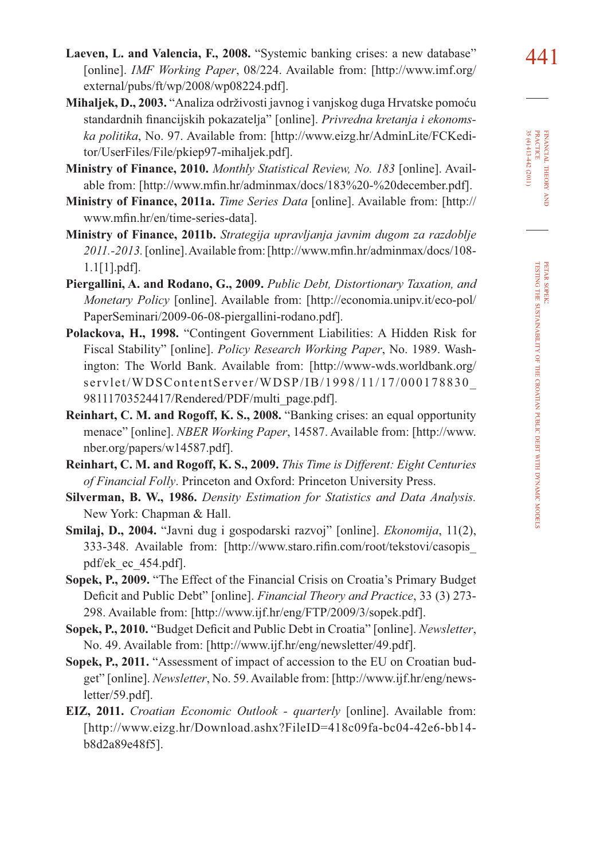- **Mihaljek, D., 2003.** "Analiza održivosti javnog i vanjskog duga Hrvatske pomoću standardnih financijskih pokazatelja" [online]. Privredna kretanja i ekonoms*ka politika*, No. 97. Available from: [http://www.eizg.hr/AdminLite/FCKeditor/UserFiles/File/pkiep97-mihaljek.pdf].
- **Ministry of Finance, 2010.** *Monthly Statistical Review, No. 183* [online]. Available from: [http://www.mfin.hr/adminmax/docs/183%20-%20december.pdf].
- **Ministry of Finance, 2011a.** *Time Series Data* [online]. Available from: [http:// www.mfin.hr/en/time-series-data].
- **Ministry of Finance, 2011b.** *Strategija upravljanja javnim dugom za razdoblje*  2011.-2013. [online]. Available from: [http://www.mfin.hr/adminmax/docs/108-1.1[1].pdf].
- **Piergallini, A. and Rodano, G., 2009.** *Public Debt, Distortionary Taxation, and Monetary Policy* [online]. Available from: [http://economia.unipv.it/eco-pol/ PaperSeminari/2009-06-08-piergallini-rodano.pdf].
- **Polackova, H., 1998.** "Contingent Government Liabilities: A Hidden Risk for Fiscal Stability" [online]. *Policy Research Working Paper*, No. 1989. Washington: The World Bank. Available from: [http://www-wds.worldbank.org/ servlet/WDSContentServer/WDSP/IB/1998/11/17/000178830\_ 98111703524417/Rendered/PDF/multi\_page.pdf].
- **Reinhart, C. M. and Rogoff, K. S., 2008.** "Banking crises: an equal opportunity menace" [online]. *NBER Working Paper*, 14587. Available from: [http://www. nber.org/papers/w14587.pdf].
- **Reinhart, C. M. and Rogoff, K. S., 2009.** *This Time is Different: Eight Centuries of Financial Folly*. Princeton and Oxford: Princeton University Press.
- **Silverman, B. W., 1986.** *Density Estimation for Statistics and Data Analysis.*  New York: Chapman & Hall.
- **Smilaj, D., 2004.** "Javni dug i gospodarski razvoj" [online]. *Ekonomija*, 11(2), 333-348. Available from: [http://www.staro.rifin.com/root/tekstovi/casopis pdf/ek\_ec\_454.pdf].
- **Sopek, P., 2009.** "The Effect of the Financial Crisis on Croatia's Primary Budget Deficit and Public Debt" [online]. *Financial Theory and Practice*, 33 (3) 273-298. Available from: [http://www.ijf.hr/eng/FTP/2009/3/sopek.pdf].
- **Sopek, P., 2010.** "Budget Deficit and Public Debt in Croatia" [online]. *Newsletter*, No. 49. Available from: [http://www.ijf.hr/eng/newsletter/49.pdf].
- **Sopek, P., 2011.** "Assessment of impact of accession to the EU on Croatian budget" [online]. *Newsletter*, No. 59. Available from: [http://www.ijf.hr/eng/newsletter/59.pdf].
- **EIZ, 2011.** *Croatian Economic Outlook quarterly* [online]. Available from: [http://www.eizg.hr/Download.ashx?FileID=418c09fa-bc04-42e6-bb14 b8d2a89e48f5].